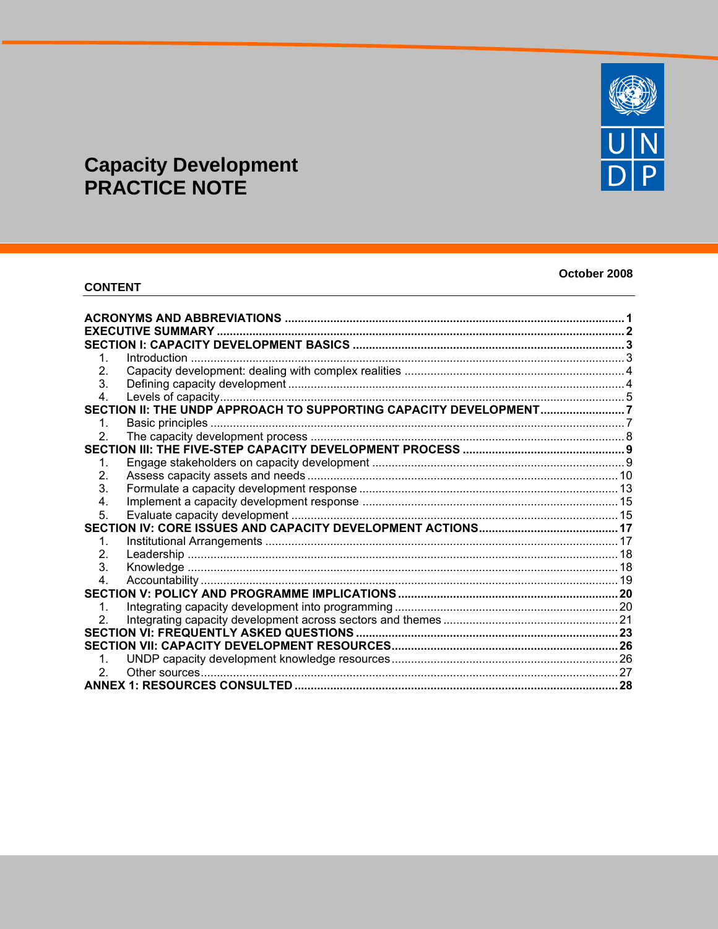# **Capacity Development<br>PRACTICE NOTE**

# **CONTENT**

# October 2008

| ACRONYMS AND ABBREVIATIONS ……………………………………………………………………………………………<br><b>EXECUTIVE SUMMARY</b> |  |
|--------------------------------------------------------------------------------------------|--|
|                                                                                            |  |
|                                                                                            |  |
| 2.                                                                                         |  |
| 3.                                                                                         |  |
| 4.                                                                                         |  |
| SECTION II: THE UNDP APPROACH TO SUPPORTING CAPACITY DEVELOPMENT7                          |  |
| 1.                                                                                         |  |
| 2                                                                                          |  |
|                                                                                            |  |
| 1.                                                                                         |  |
| 2.                                                                                         |  |
| 3.                                                                                         |  |
| 4.                                                                                         |  |
| 5.                                                                                         |  |
|                                                                                            |  |
| 1.                                                                                         |  |
| 2 <sub>1</sub>                                                                             |  |
| 3.                                                                                         |  |
| 4.                                                                                         |  |
|                                                                                            |  |
| 1.                                                                                         |  |
|                                                                                            |  |
|                                                                                            |  |
|                                                                                            |  |
|                                                                                            |  |
| 2.                                                                                         |  |
|                                                                                            |  |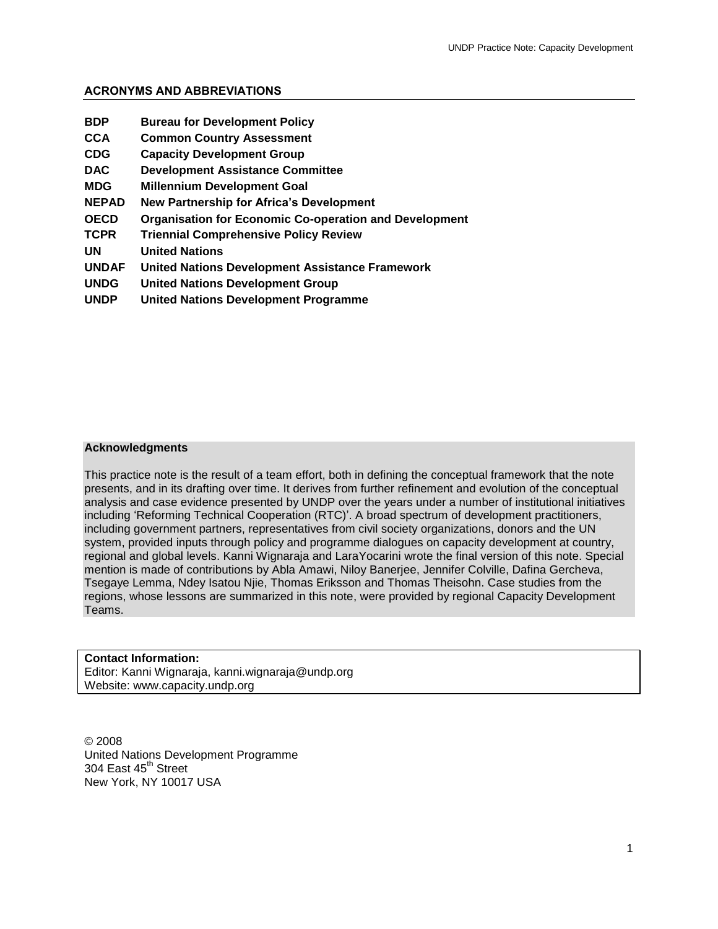# <span id="page-1-0"></span>**ACRONYMS AND ABBREVIATIONS**

| <b>BDP</b>   | <b>Bureau for Development Policy</b>                          |
|--------------|---------------------------------------------------------------|
| CCA          | <b>Common Country Assessment</b>                              |
| <b>CDG</b>   | <b>Capacity Development Group</b>                             |
| <b>DAC</b>   | <b>Development Assistance Committee</b>                       |
| MDG          | <b>Millennium Development Goal</b>                            |
| <b>NEPAD</b> | <b>New Partnership for Africa's Development</b>               |
| <b>OECD</b>  | <b>Organisation for Economic Co-operation and Development</b> |
| TCPR         | <b>Triennial Comprehensive Policy Review</b>                  |
| UN           | <b>United Nations</b>                                         |
| <b>UNDAF</b> | <b>United Nations Development Assistance Framework</b>        |
| <b>UNDG</b>  | <b>United Nations Development Group</b>                       |
| <b>UNDP</b>  | <b>United Nations Development Programme</b>                   |

#### **Acknowledgments**

This practice note is the result of a team effort, both in defining the conceptual framework that the note presents, and in its drafting over time. It derives from further refinement and evolution of the conceptual analysis and case evidence presented by UNDP over the years under a number of institutional initiatives including 'Reforming Technical Cooperation (RTC)'. A broad spectrum of development practitioners, including government partners, representatives from civil society organizations, donors and the UN system, provided inputs through policy and programme dialogues on capacity development at country, regional and global levels. Kanni Wignaraja and LaraYocarini wrote the final version of this note. Special mention is made of contributions by Abla Amawi, Niloy Banerjee, Jennifer Colville, Dafina Gercheva, Tsegaye Lemma, Ndey Isatou Njie, Thomas Eriksson and Thomas Theisohn. Case studies from the regions, whose lessons are summarized in this note, were provided by regional Capacity Development Teams.

# **Contact Information:** Editor: Kanni Wignaraja, kanni.wignaraja@undp.org Website: www.capacity.undp.org

© 2008 United Nations Development Programme 304 East 45<sup>th</sup> Street New York, NY 10017 USA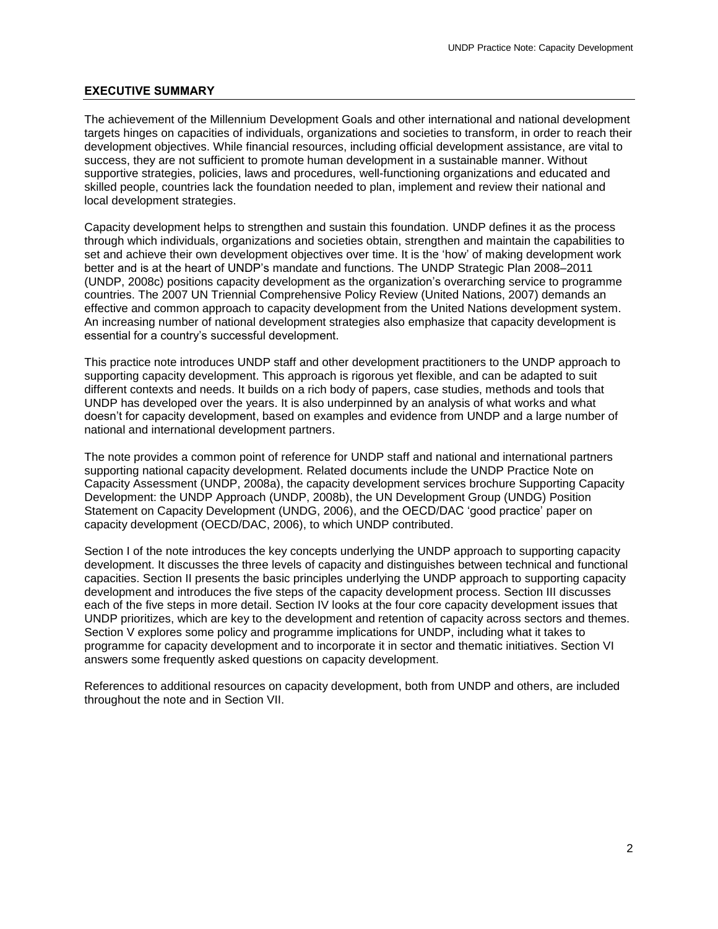#### <span id="page-2-0"></span>**EXECUTIVE SUMMARY**

The achievement of the Millennium Development Goals and other international and national development targets hinges on capacities of individuals, organizations and societies to transform, in order to reach their development objectives. While financial resources, including official development assistance, are vital to success, they are not sufficient to promote human development in a sustainable manner. Without supportive strategies, policies, laws and procedures, well-functioning organizations and educated and skilled people, countries lack the foundation needed to plan, implement and review their national and local development strategies.

Capacity development helps to strengthen and sustain this foundation. UNDP defines it as the process through which individuals, organizations and societies obtain, strengthen and maintain the capabilities to set and achieve their own development objectives over time. It is the 'how' of making development work better and is at the heart of UNDP's mandate and functions. The UNDP Strategic Plan 2008–2011 (UNDP, 2008c) positions capacity development as the organization's overarching service to programme countries. The 2007 UN Triennial Comprehensive Policy Review (United Nations, 2007) demands an effective and common approach to capacity development from the United Nations development system. An increasing number of national development strategies also emphasize that capacity development is essential for a country's successful development.

This practice note introduces UNDP staff and other development practitioners to the UNDP approach to supporting capacity development. This approach is rigorous yet flexible, and can be adapted to suit different contexts and needs. It builds on a rich body of papers, case studies, methods and tools that UNDP has developed over the years. It is also underpinned by an analysis of what works and what doesn't for capacity development, based on examples and evidence from UNDP and a large number of national and international development partners.

The note provides a common point of reference for UNDP staff and national and international partners supporting national capacity development. Related documents include the UNDP Practice Note on Capacity Assessment (UNDP, 2008a), the capacity development services brochure Supporting Capacity Development: the UNDP Approach (UNDP, 2008b), the UN Development Group (UNDG) Position Statement on Capacity Development (UNDG, 2006), and the OECD/DAC 'good practice' paper on capacity development (OECD/DAC, 2006), to which UNDP contributed.

Section I of the note introduces the key concepts underlying the UNDP approach to supporting capacity development. It discusses the three levels of capacity and distinguishes between technical and functional capacities. Section II presents the basic principles underlying the UNDP approach to supporting capacity development and introduces the five steps of the capacity development process. Section III discusses each of the five steps in more detail. Section IV looks at the four core capacity development issues that UNDP prioritizes, which are key to the development and retention of capacity across sectors and themes. Section V explores some policy and programme implications for UNDP, including what it takes to programme for capacity development and to incorporate it in sector and thematic initiatives. Section VI answers some frequently asked questions on capacity development.

References to additional resources on capacity development, both from UNDP and others, are included throughout the note and in Section VII.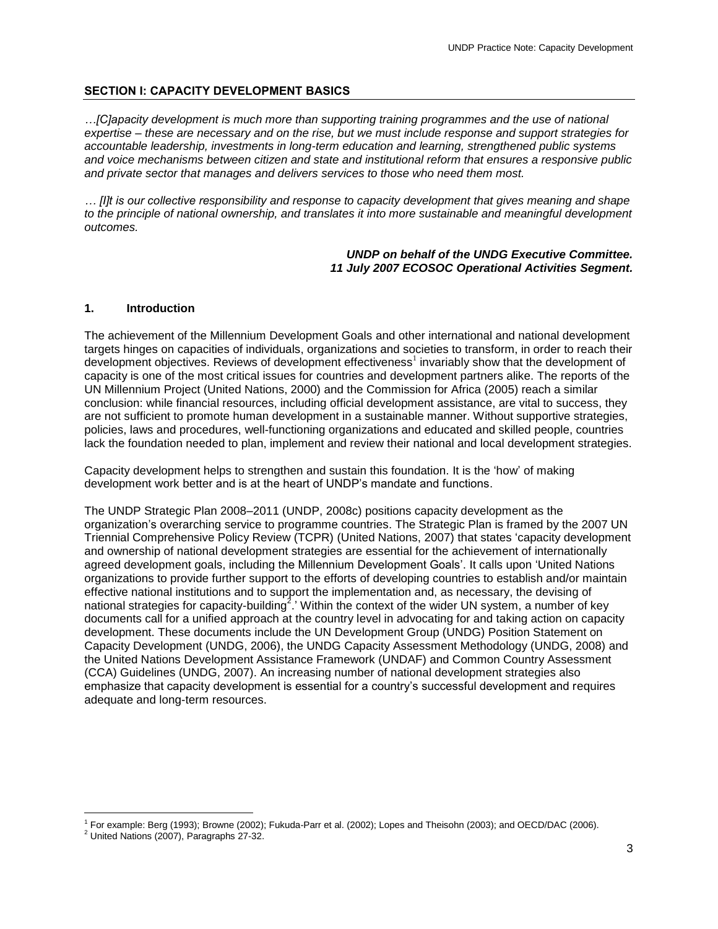#### <span id="page-3-0"></span>**SECTION I: CAPACITY DEVELOPMENT BASICS**

*…[C]apacity development is much more than supporting training programmes and the use of national expertise – these are necessary and on the rise, but we must include response and support strategies for accountable leadership, investments in long-term education and learning, strengthened public systems and voice mechanisms between citizen and state and institutional reform that ensures a responsive public and private sector that manages and delivers services to those who need them most.* 

*… [I]t is our collective responsibility and response to capacity development that gives meaning and shape to the principle of national ownership, and translates it into more sustainable and meaningful development outcomes.* 

> *UNDP on behalf of the UNDG Executive Committee. 11 July 2007 ECOSOC Operational Activities Segment.*

#### <span id="page-3-1"></span>**1. Introduction**

The achievement of the Millennium Development Goals and other international and national development targets hinges on capacities of individuals, organizations and societies to transform, in order to reach their development objectives. Reviews of development effectiveness<sup>1</sup> invariably show that the development of capacity is one of the most critical issues for countries and development partners alike. The reports of the UN Millennium Project (United Nations, 2000) and the Commission for Africa (2005) reach a similar conclusion: while financial resources, including official development assistance, are vital to success, they are not sufficient to promote human development in a sustainable manner. Without supportive strategies, policies, laws and procedures, well-functioning organizations and educated and skilled people, countries lack the foundation needed to plan, implement and review their national and local development strategies.

Capacity development helps to strengthen and sustain this foundation. It is the 'how' of making development work better and is at the heart of UNDP's mandate and functions.

The UNDP Strategic Plan 2008–2011 (UNDP, 2008c) positions capacity development as the organization's overarching service to programme countries. The Strategic Plan is framed by the 2007 UN Triennial Comprehensive Policy Review (TCPR) (United Nations, 2007) that states 'capacity development and ownership of national development strategies are essential for the achievement of internationally agreed development goals, including the Millennium Development Goals'. It calls upon 'United Nations organizations to provide further support to the efforts of developing countries to establish and/or maintain effective national institutions and to support the implementation and, as necessary, the devising of national strategies for capacity-building<sup>2</sup>.' Within the context of the wider UN system, a number of key documents call for a unified approach at the country level in advocating for and taking action on capacity development. These documents include the UN Development Group (UNDG) Position Statement on Capacity Development (UNDG, 2006), the UNDG Capacity Assessment Methodology (UNDG, 2008) and the United Nations Development Assistance Framework (UNDAF) and Common Country Assessment (CCA) Guidelines (UNDG, 2007). An increasing number of national development strategies also emphasize that capacity development is essential for a country's successful development and requires adequate and long-term resources.

 $\overline{a}$ 

<sup>1</sup> For example: Berg (1993); Browne (2002); Fukuda-Parr et al. (2002); Lopes and Theisohn (2003); and OECD/DAC (2006).

 $2$  United Nations (2007), Paragraphs 27-32.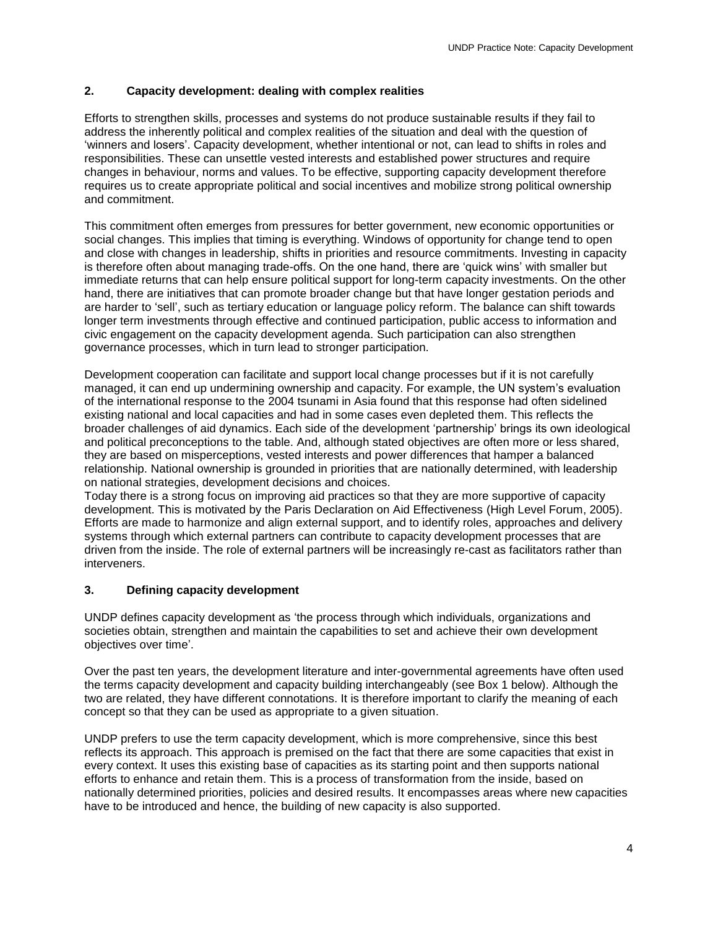# <span id="page-4-0"></span>**2. Capacity development: dealing with complex realities**

Efforts to strengthen skills, processes and systems do not produce sustainable results if they fail to address the inherently political and complex realities of the situation and deal with the question of 'winners and losers'. Capacity development, whether intentional or not, can lead to shifts in roles and responsibilities. These can unsettle vested interests and established power structures and require changes in behaviour, norms and values. To be effective, supporting capacity development therefore requires us to create appropriate political and social incentives and mobilize strong political ownership and commitment.

This commitment often emerges from pressures for better government, new economic opportunities or social changes. This implies that timing is everything. Windows of opportunity for change tend to open and close with changes in leadership, shifts in priorities and resource commitments. Investing in capacity is therefore often about managing trade-offs. On the one hand, there are 'quick wins' with smaller but immediate returns that can help ensure political support for long-term capacity investments. On the other hand, there are initiatives that can promote broader change but that have longer gestation periods and are harder to 'sell', such as tertiary education or language policy reform. The balance can shift towards longer term investments through effective and continued participation, public access to information and civic engagement on the capacity development agenda. Such participation can also strengthen governance processes, which in turn lead to stronger participation.

Development cooperation can facilitate and support local change processes but if it is not carefully managed, it can end up undermining ownership and capacity. For example, the UN system's evaluation of the international response to the 2004 tsunami in Asia found that this response had often sidelined existing national and local capacities and had in some cases even depleted them. This reflects the broader challenges of aid dynamics. Each side of the development 'partnership' brings its own ideological and political preconceptions to the table. And, although stated objectives are often more or less shared, they are based on misperceptions, vested interests and power differences that hamper a balanced relationship. National ownership is grounded in priorities that are nationally determined, with leadership on national strategies, development decisions and choices.

Today there is a strong focus on improving aid practices so that they are more supportive of capacity development. This is motivated by the Paris Declaration on Aid Effectiveness (High Level Forum, 2005). Efforts are made to harmonize and align external support, and to identify roles, approaches and delivery systems through which external partners can contribute to capacity development processes that are driven from the inside. The role of external partners will be increasingly re-cast as facilitators rather than interveners.

# <span id="page-4-1"></span>**3. Defining capacity development**

UNDP defines capacity development as 'the process through which individuals, organizations and societies obtain, strengthen and maintain the capabilities to set and achieve their own development objectives over time'.

Over the past ten years, the development literature and inter-governmental agreements have often used the terms capacity development and capacity building interchangeably (see Box 1 below). Although the two are related, they have different connotations. It is therefore important to clarify the meaning of each concept so that they can be used as appropriate to a given situation.

UNDP prefers to use the term capacity development, which is more comprehensive, since this best reflects its approach. This approach is premised on the fact that there are some capacities that exist in every context. It uses this existing base of capacities as its starting point and then supports national efforts to enhance and retain them. This is a process of transformation from the inside, based on nationally determined priorities, policies and desired results. It encompasses areas where new capacities have to be introduced and hence, the building of new capacity is also supported.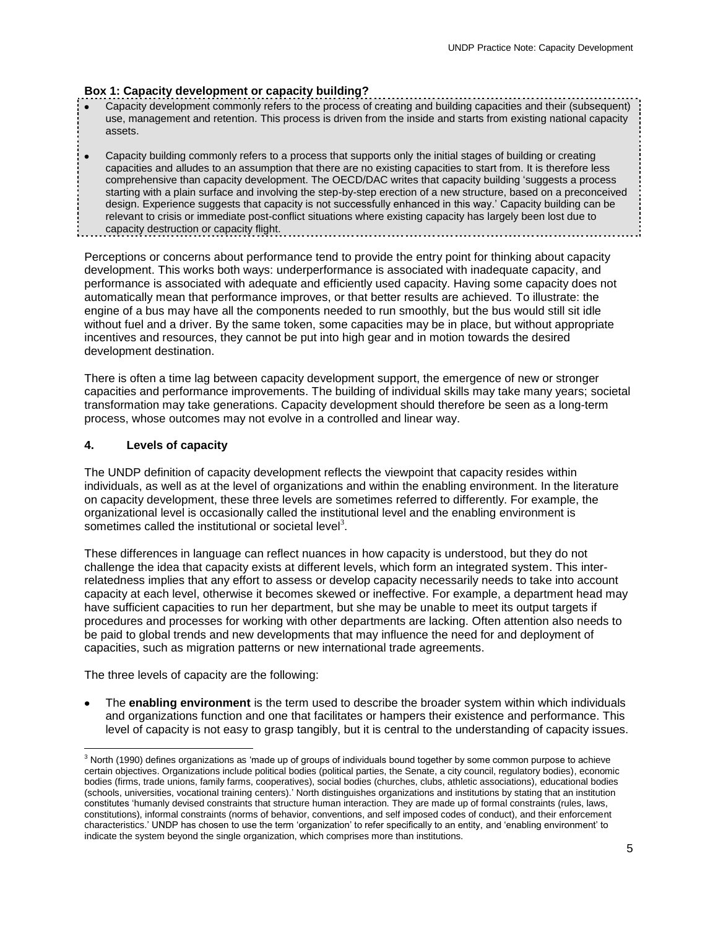#### **Box 1: Capacity development or capacity building?**

- Capacity development commonly refers to the process of creating and building capacities and their (subsequent) use, management and retention. This process is driven from the inside and starts from existing national capacity assets.
- Capacity building commonly refers to a process that supports only the initial stages of building or creating  $\bullet$ capacities and alludes to an assumption that there are no existing capacities to start from. It is therefore less comprehensive than capacity development. The OECD/DAC writes that capacity building 'suggests a process starting with a plain surface and involving the step-by-step erection of a new structure, based on a preconceived design. Experience suggests that capacity is not successfully enhanced in this way.' Capacity building can be relevant to crisis or immediate post-conflict situations where existing capacity has largely been lost due to capacity destruction or capacity flight. and the control of the control of the control of the control of the control of the control of the control of the

Perceptions or concerns about performance tend to provide the entry point for thinking about capacity development. This works both ways: underperformance is associated with inadequate capacity, and performance is associated with adequate and efficiently used capacity. Having some capacity does not automatically mean that performance improves, or that better results are achieved. To illustrate: the engine of a bus may have all the components needed to run smoothly, but the bus would still sit idle without fuel and a driver. By the same token, some capacities may be in place, but without appropriate incentives and resources, they cannot be put into high gear and in motion towards the desired development destination.

There is often a time lag between capacity development support, the emergence of new or stronger capacities and performance improvements. The building of individual skills may take many years; societal transformation may take generations. Capacity development should therefore be seen as a long-term process, whose outcomes may not evolve in a controlled and linear way.

#### <span id="page-5-0"></span>**4. Levels of capacity**

The UNDP definition of capacity development reflects the viewpoint that capacity resides within individuals, as well as at the level of organizations and within the enabling environment. In the literature on capacity development, these three levels are sometimes referred to differently. For example, the organizational level is occasionally called the institutional level and the enabling environment is sometimes called the institutional or societal level<sup>3</sup>.

These differences in language can reflect nuances in how capacity is understood, but they do not challenge the idea that capacity exists at different levels, which form an integrated system. This interrelatedness implies that any effort to assess or develop capacity necessarily needs to take into account capacity at each level, otherwise it becomes skewed or ineffective. For example, a department head may have sufficient capacities to run her department, but she may be unable to meet its output targets if procedures and processes for working with other departments are lacking. Often attention also needs to be paid to global trends and new developments that may influence the need for and deployment of capacities, such as migration patterns or new international trade agreements.

The three levels of capacity are the following:

 $\overline{a}$ 

The **enabling environment** is the term used to describe the broader system within which individuals and organizations function and one that facilitates or hampers their existence and performance. This level of capacity is not easy to grasp tangibly, but it is central to the understanding of capacity issues.

<sup>&</sup>lt;sup>3</sup> North (1990) defines organizations as 'made up of groups of individuals bound together by some common purpose to achieve certain objectives. Organizations include political bodies (political parties, the Senate, a city council, regulatory bodies), economic bodies (firms, trade unions, family farms, cooperatives), social bodies (churches, clubs, athletic associations), educational bodies (schools, universities, vocational training centers).' North distinguishes organizations and institutions by stating that an institution constitutes 'humanly devised constraints that structure human interaction. They are made up of formal constraints (rules, laws, constitutions), informal constraints (norms of behavior, conventions, and self imposed codes of conduct), and their enforcement characteristics.' UNDP has chosen to use the term 'organization' to refer specifically to an entity, and 'enabling environment' to indicate the system beyond the single organization, which comprises more than institutions.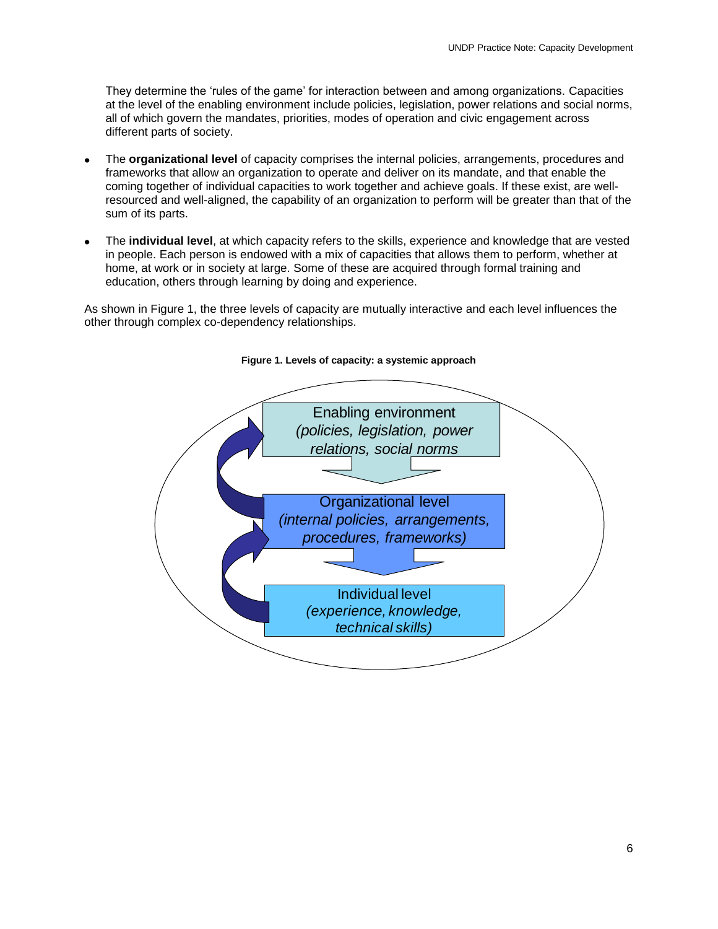They determine the 'rules of the game' for interaction between and among organizations. Capacities at the level of the enabling environment include policies, legislation, power relations and social norms, all of which govern the mandates, priorities, modes of operation and civic engagement across different parts of society.

- The **organizational level** of capacity comprises the internal policies, arrangements, procedures and frameworks that allow an organization to operate and deliver on its mandate, and that enable the coming together of individual capacities to work together and achieve goals. If these exist, are wellresourced and well-aligned, the capability of an organization to perform will be greater than that of the sum of its parts.
- The **individual level**, at which capacity refers to the skills, experience and knowledge that are vested in people. Each person is endowed with a mix of capacities that allows them to perform, whether at home, at work or in society at large. Some of these are acquired through formal training and education, others through learning by doing and experience.

As shown in Figure 1, the three levels of capacity are mutually interactive and each level influences the other through complex co-dependency relationships.



#### **Figure 1. Levels of capacity: a systemic approach**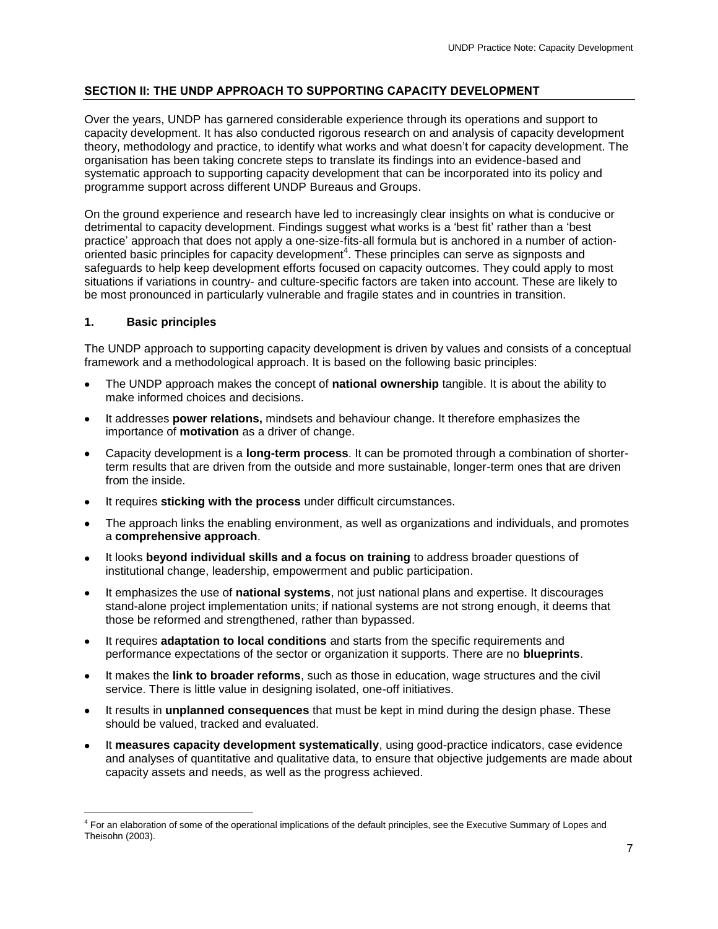# <span id="page-7-0"></span>**SECTION II: THE UNDP APPROACH TO SUPPORTING CAPACITY DEVELOPMENT**

Over the years, UNDP has garnered considerable experience through its operations and support to capacity development. It has also conducted rigorous research on and analysis of capacity development theory, methodology and practice, to identify what works and what doesn't for capacity development. The organisation has been taking concrete steps to translate its findings into an evidence-based and systematic approach to supporting capacity development that can be incorporated into its policy and programme support across different UNDP Bureaus and Groups.

On the ground experience and research have led to increasingly clear insights on what is conducive or detrimental to capacity development. Findings suggest what works is a 'best fit' rather than a 'best practice' approach that does not apply a one-size-fits-all formula but is anchored in a number of action- $\overline{\phantom{a}}$  oriented basic principles for capacity development<sup>4</sup>. These principles can serve as signposts and safeguards to help keep development efforts focused on capacity outcomes. They could apply to most situations if variations in country- and culture-specific factors are taken into account. These are likely to be most pronounced in particularly vulnerable and fragile states and in countries in transition.

# <span id="page-7-1"></span>**1. Basic principles**

 $\overline{a}$ 

The UNDP approach to supporting capacity development is driven by values and consists of a conceptual framework and a methodological approach. It is based on the following basic principles:

- The UNDP approach makes the concept of **national ownership** tangible. It is about the ability to make informed choices and decisions.
- It addresses **power relations,** mindsets and behaviour change. It therefore emphasizes the importance of **motivation** as a driver of change.
- Capacity development is a **long-term process**. It can be promoted through a combination of shorterterm results that are driven from the outside and more sustainable, longer-term ones that are driven from the inside.
- It requires **sticking with the process** under difficult circumstances.
- The approach links the enabling environment, as well as organizations and individuals, and promotes a **comprehensive approach**.
- It looks **beyond individual skills and a focus on training** to address broader questions of institutional change, leadership, empowerment and public participation.
- It emphasizes the use of **national systems**, not just national plans and expertise. It discourages stand-alone project implementation units; if national systems are not strong enough, it deems that those be reformed and strengthened, rather than bypassed.
- It requires **adaptation to local conditions** and starts from the specific requirements and performance expectations of the sector or organization it supports. There are no **blueprints**.
- It makes the **link to broader reforms**, such as those in education, wage structures and the civil service. There is little value in designing isolated, one-off initiatives.
- It results in **unplanned consequences** that must be kept in mind during the design phase. These should be valued, tracked and evaluated.
- It **measures capacity development systematically**, using good-practice indicators, case evidence and analyses of quantitative and qualitative data, to ensure that objective judgements are made about capacity assets and needs, as well as the progress achieved.

<sup>&</sup>lt;sup>4</sup> For an elaboration of some of the operational implications of the default principles, see the Executive Summary of Lopes and Theisohn (2003).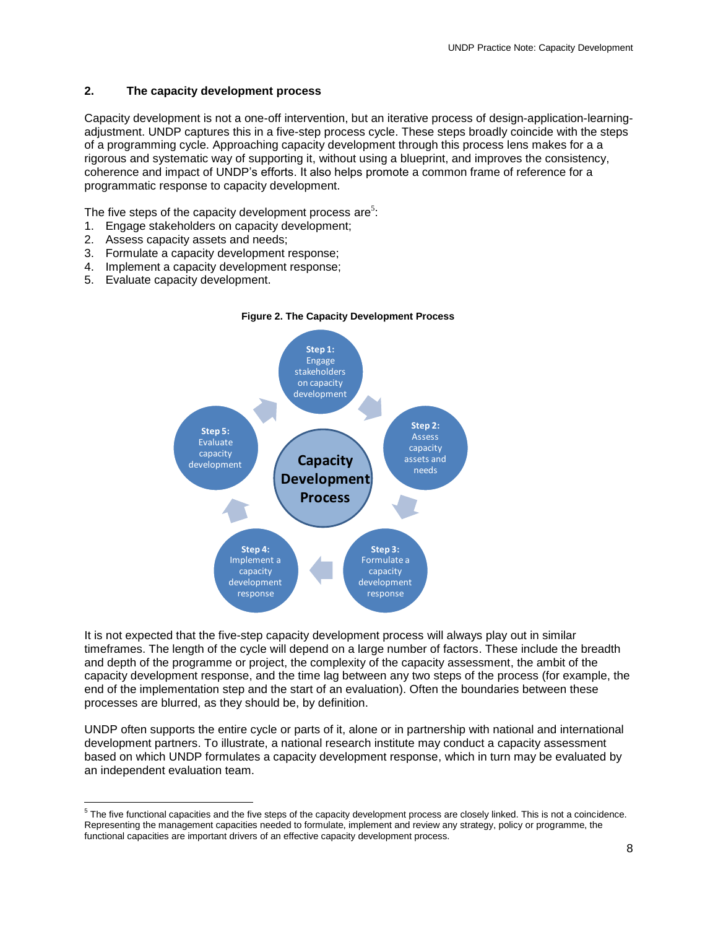# <span id="page-8-0"></span>**2. The capacity development process**

Capacity development is not a one-off intervention, but an iterative process of design-application-learningadjustment. UNDP captures this in a five-step process cycle. These steps broadly coincide with the steps of a programming cycle. Approaching capacity development through this process lens makes for a a rigorous and systematic way of supporting it, without using a blueprint, and improves the consistency, coherence and impact of UNDP's efforts. It also helps promote a common frame of reference for a programmatic response to capacity development.

The five steps of the capacity development process are<sup>5</sup>:

- 1. Engage stakeholders on capacity development;
- 2. Assess capacity assets and needs;
- 3. Formulate a capacity development response;
- 4. Implement a capacity development response;
- 5. Evaluate capacity development.



**Figure 2. The Capacity Development Process**

It is not expected that the five-step capacity development process will always play out in similar timeframes. The length of the cycle will depend on a large number of factors. These include the breadth and depth of the programme or project, the complexity of the capacity assessment, the ambit of the capacity development response, and the time lag between any two steps of the process (for example, the end of the implementation step and the start of an evaluation). Often the boundaries between these processes are blurred, as they should be, by definition.

UNDP often supports the entire cycle or parts of it, alone or in partnership with national and international development partners. To illustrate, a national research institute may conduct a capacity assessment based on which UNDP formulates a capacity development response, which in turn may be evaluated by an independent evaluation team.

 $\frac{5}{5}$  The five functional capacities and the five steps of the capacity development process are closely linked. This is not a coincidence. Representing the management capacities needed to formulate, implement and review any strategy, policy or programme, the functional capacities are important drivers of an effective capacity development process.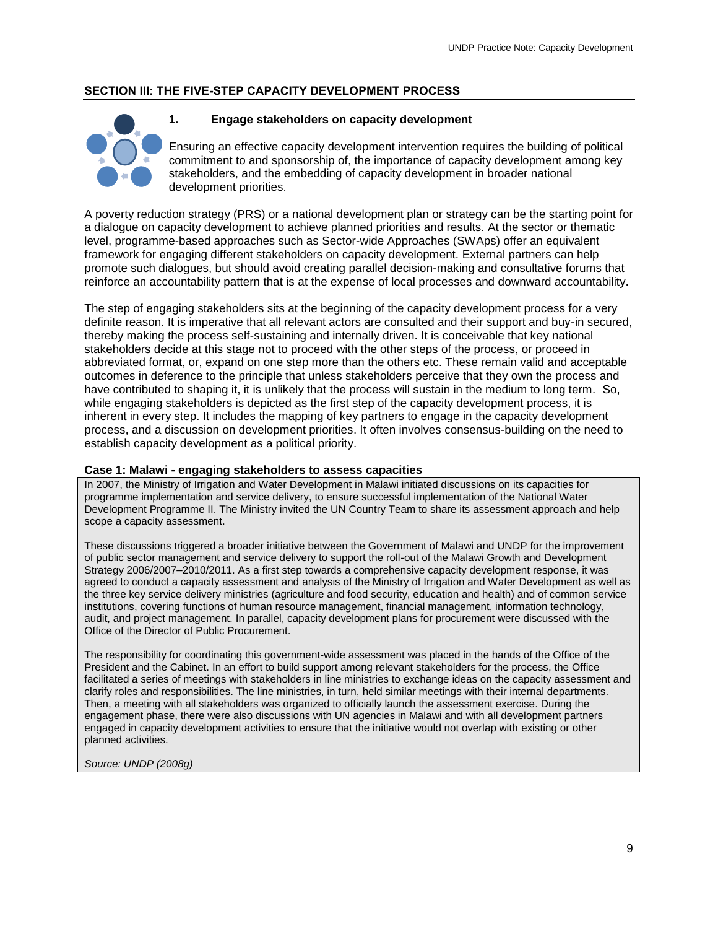# <span id="page-9-0"></span>**SECTION III: THE FIVE-STEP CAPACITY DEVELOPMENT PROCESS**

<span id="page-9-1"></span>

# **1. Engage stakeholders on capacity development**

Ensuring an effective capacity development intervention requires the building of political commitment to and sponsorship of, the importance of capacity development among key stakeholders, and the embedding of capacity development in broader national development priorities.

A poverty reduction strategy (PRS) or a national development plan or strategy can be the starting point for a dialogue on capacity development to achieve planned priorities and results. At the sector or thematic level, programme-based approaches such as Sector-wide Approaches (SWAps) offer an equivalent framework for engaging different stakeholders on capacity development. External partners can help promote such dialogues, but should avoid creating parallel decision-making and consultative forums that reinforce an accountability pattern that is at the expense of local processes and downward accountability.

The step of engaging stakeholders sits at the beginning of the capacity development process for a very definite reason. It is imperative that all relevant actors are consulted and their support and buy-in secured, thereby making the process self-sustaining and internally driven. It is conceivable that key national stakeholders decide at this stage not to proceed with the other steps of the process, or proceed in abbreviated format, or, expand on one step more than the others etc. These remain valid and acceptable outcomes in deference to the principle that unless stakeholders perceive that they own the process and have contributed to shaping it, it is unlikely that the process will sustain in the medium to long term. So, while engaging stakeholders is depicted as the first step of the capacity development process, it is inherent in every step. It includes the mapping of key partners to engage in the capacity development process, and a discussion on development priorities. It often involves consensus-building on the need to establish capacity development as a political priority.

# **Case 1: Malawi - engaging stakeholders to assess capacities**

In 2007, the Ministry of Irrigation and Water Development in Malawi initiated discussions on its capacities for programme implementation and service delivery, to ensure successful implementation of the National Water Development Programme II. The Ministry invited the UN Country Team to share its assessment approach and help scope a capacity assessment.

These discussions triggered a broader initiative between the Government of Malawi and UNDP for the improvement of public sector management and service delivery to support the roll-out of the Malawi Growth and Development Strategy 2006/2007–2010/2011. As a first step towards a comprehensive capacity development response, it was agreed to conduct a capacity assessment and analysis of the Ministry of Irrigation and Water Development as well as the three key service delivery ministries (agriculture and food security, education and health) and of common service institutions, covering functions of human resource management, financial management, information technology, audit, and project management. In parallel, capacity development plans for procurement were discussed with the Office of the Director of Public Procurement.

The responsibility for coordinating this government-wide assessment was placed in the hands of the Office of the President and the Cabinet. In an effort to build support among relevant stakeholders for the process, the Office facilitated a series of meetings with stakeholders in line ministries to exchange ideas on the capacity assessment and clarify roles and responsibilities. The line ministries, in turn, held similar meetings with their internal departments. Then, a meeting with all stakeholders was organized to officially launch the assessment exercise. During the engagement phase, there were also discussions with UN agencies in Malawi and with all development partners engaged in capacity development activities to ensure that the initiative would not overlap with existing or other planned activities.

*Source: UNDP (2008g)*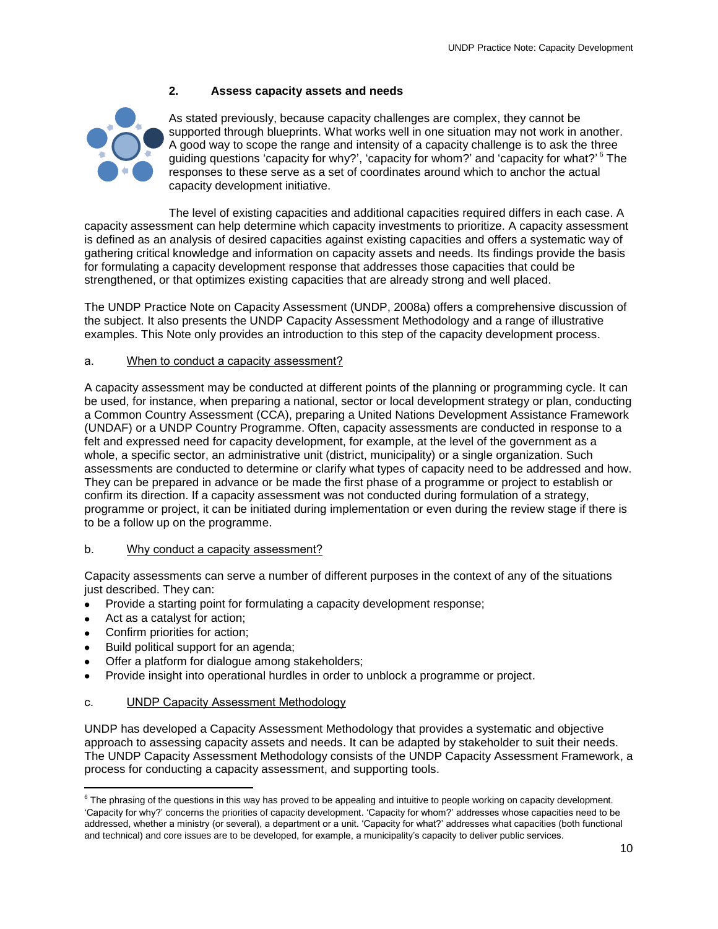# <span id="page-10-0"></span>**2. Assess capacity assets and needs**



As stated previously, because capacity challenges are complex, they cannot be supported through blueprints. What works well in one situation may not work in another. A good way to scope the range and intensity of a capacity challenge is to ask the three guiding questions 'capacity for why?', 'capacity for whom?' and 'capacity for what?' <sup>6</sup> The responses to these serve as a set of coordinates around which to anchor the actual capacity development initiative.

The level of existing capacities and additional capacities required differs in each case. A capacity assessment can help determine which capacity investments to prioritize. A capacity assessment is defined as an analysis of desired capacities against existing capacities and offers a systematic way of gathering critical knowledge and information on capacity assets and needs. Its findings provide the basis for formulating a capacity development response that addresses those capacities that could be strengthened, or that optimizes existing capacities that are already strong and well placed.

The UNDP Practice Note on Capacity Assessment (UNDP, 2008a) offers a comprehensive discussion of the subject. It also presents the UNDP Capacity Assessment Methodology and a range of illustrative examples. This Note only provides an introduction to this step of the capacity development process.

# a. When to conduct a capacity assessment?

A capacity assessment may be conducted at different points of the planning or programming cycle. It can be used, for instance, when preparing a national, sector or local development strategy or plan, conducting a Common Country Assessment (CCA), preparing a United Nations Development Assistance Framework (UNDAF) or a UNDP Country Programme. Often, capacity assessments are conducted in response to a felt and expressed need for capacity development, for example, at the level of the government as a whole, a specific sector, an administrative unit (district, municipality) or a single organization. Such assessments are conducted to determine or clarify what types of capacity need to be addressed and how. They can be prepared in advance or be made the first phase of a programme or project to establish or confirm its direction. If a capacity assessment was not conducted during formulation of a strategy, programme or project, it can be initiated during implementation or even during the review stage if there is to be a follow up on the programme.

# b. Why conduct a capacity assessment?

Capacity assessments can serve a number of different purposes in the context of any of the situations just described. They can:

- Provide a starting point for formulating a capacity development response;
- Act as a catalyst for action;

 $\overline{a}$ 

- Confirm priorities for action;
- Build political support for an agenda;
- Offer a platform for dialogue among stakeholders;
- Provide insight into operational hurdles in order to unblock a programme or project.

# c. UNDP Capacity Assessment Methodology

UNDP has developed a Capacity Assessment Methodology that provides a systematic and objective approach to assessing capacity assets and needs. It can be adapted by stakeholder to suit their needs. The UNDP Capacity Assessment Methodology consists of the UNDP Capacity Assessment Framework, a process for conducting a capacity assessment, and supporting tools.

<sup>&</sup>lt;sup>6</sup> The phrasing of the questions in this way has proved to be appealing and intuitive to people working on capacity development. 'Capacity for why?' concerns the priorities of capacity development. 'Capacity for whom?' addresses whose capacities need to be addressed, whether a ministry (or several), a department or a unit. 'Capacity for what?' addresses what capacities (both functional and technical) and core issues are to be developed, for example, a municipality's capacity to deliver public services.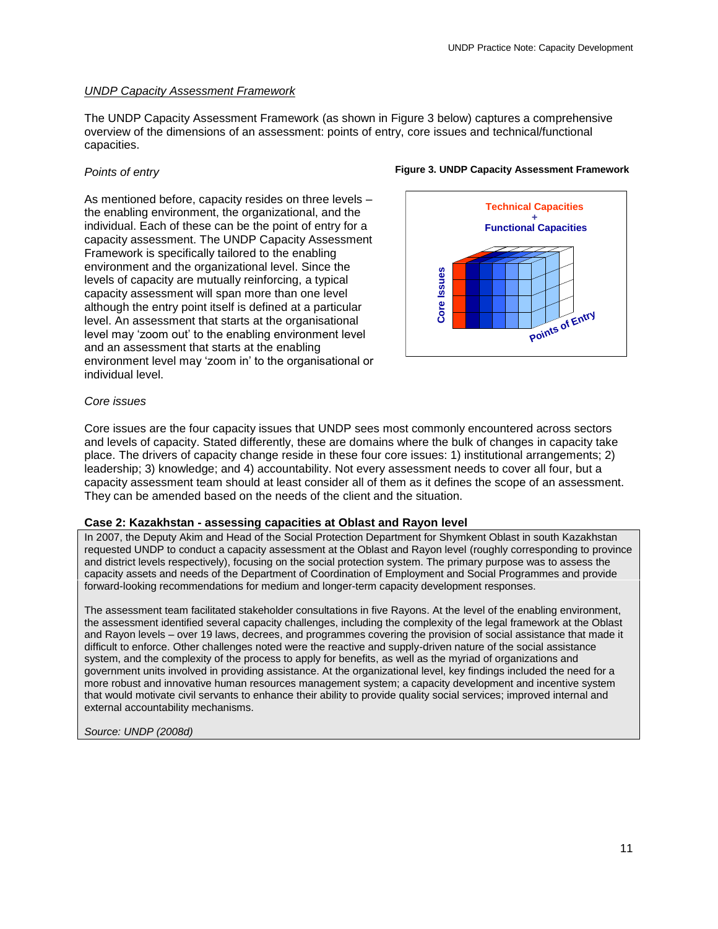#### *UNDP Capacity Assessment Framework*

The UNDP Capacity Assessment Framework (as shown in Figure 3 below) captures a comprehensive overview of the dimensions of an assessment: points of entry, core issues and technical/functional capacities.

#### *Points of entry*

As mentioned before, capacity resides on three levels – the enabling environment, the organizational, and the individual. Each of these can be the point of entry for a capacity assessment. The UNDP Capacity Assessment Framework is specifically tailored to the enabling environment and the organizational level. Since the levels of capacity are mutually reinforcing, a typical capacity assessment will span more than one level although the entry point itself is defined at a particular level. An assessment that starts at the organisational level may 'zoom out' to the enabling environment level and an assessment that starts at the enabling environment level may 'zoom in' to the organisational or individual level.



**Figure 3. UNDP Capacity Assessment Framework**

#### *Core issues*

Core issues are the four capacity issues that UNDP sees most commonly encountered across sectors and levels of capacity. Stated differently, these are domains where the bulk of changes in capacity take place. The drivers of capacity change reside in these four core issues: 1) institutional arrangements; 2) leadership; 3) knowledge; and 4) accountability. Not every assessment needs to cover all four, but a capacity assessment team should at least consider all of them as it defines the scope of an assessment. They can be amended based on the needs of the client and the situation.

#### **Case 2: Kazakhstan - assessing capacities at Oblast and Rayon level**

In 2007, the Deputy Akim and Head of the Social Protection Department for Shymkent Oblast in south Kazakhstan requested UNDP to conduct a capacity assessment at the Oblast and Rayon level (roughly corresponding to province and district levels respectively), focusing on the social protection system. The primary purpose was to assess the capacity assets and needs of the Department of Coordination of Employment and Social Programmes and provide forward-looking recommendations for medium and longer-term capacity development responses.

The assessment team facilitated stakeholder consultations in five Rayons. At the level of the enabling environment, the assessment identified several capacity challenges, including the complexity of the legal framework at the Oblast and Rayon levels – over 19 laws, decrees, and programmes covering the provision of social assistance that made it difficult to enforce. Other challenges noted were the reactive and supply-driven nature of the social assistance system, and the complexity of the process to apply for benefits, as well as the myriad of organizations and government units involved in providing assistance. At the organizational level, key findings included the need for a more robust and innovative human resources management system; a capacity development and incentive system that would motivate civil servants to enhance their ability to provide quality social services; improved internal and external accountability mechanisms.

*Source: UNDP (2008d)*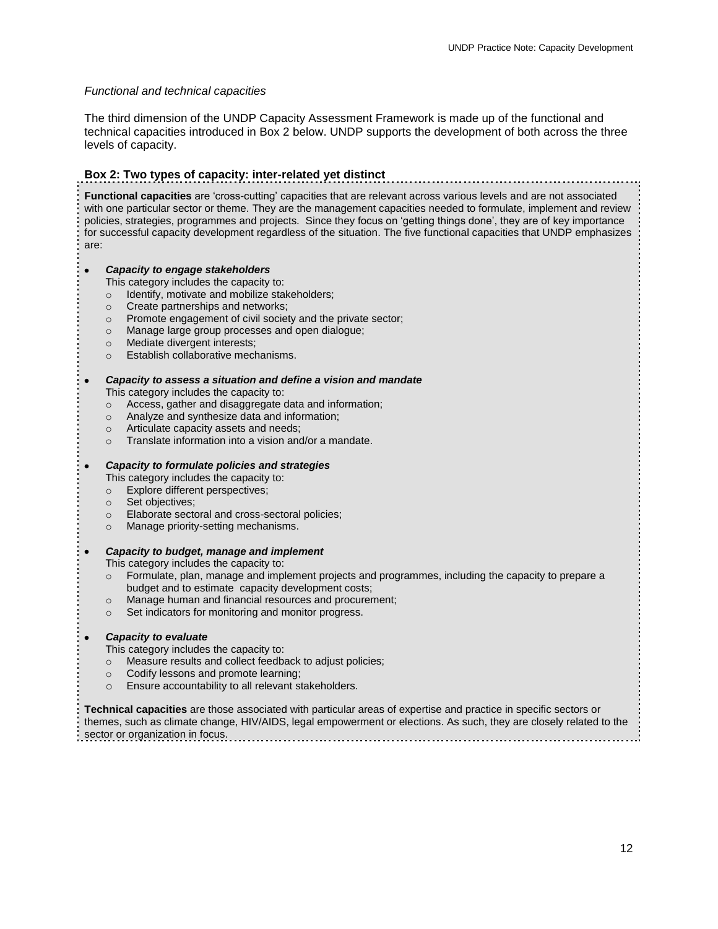# *Functional and technical capacities*

The third dimension of the UNDP Capacity Assessment Framework is made up of the functional and technical capacities introduced in Box 2 below. UNDP supports the development of both across the three levels of capacity.

# **Box 2: Two types of capacity: inter-related yet distinct**

**Functional capacities** are 'cross-cutting' capacities that are relevant across various levels and are not associated with one particular sector or theme. They are the management capacities needed to formulate, implement and review policies, strategies, programmes and projects. Since they focus on 'getting things done', they are of key importance for successful capacity development regardless of the situation. The five functional capacities that UNDP emphasizes are:

#### *Capacity to engage stakeholders*

This category includes the capacity to:

- o Identify, motivate and mobilize stakeholders;
- o Create partnerships and networks;
- o Promote engagement of civil society and the private sector;
- o Manage large group processes and open dialogue;
- o Mediate divergent interests;
- o Establish collaborative mechanisms.

#### *Capacity to assess a situation and define a vision and mandate*

This category includes the capacity to:

- o Access, gather and disaggregate data and information;
- o Analyze and synthesize data and information;
- o Articulate capacity assets and needs;
- o Translate information into a vision and/or a mandate.

#### *Capacity to formulate policies and strategies*

- This category includes the capacity to:
- o Explore different perspectives;
- o Set objectives;

 $\bullet$ 

 $\bullet$ 

- o Elaborate sectoral and cross-sectoral policies;
- Manage priority-setting mechanisms.

#### *Capacity to budget, manage and implement*  $\bullet$

This category includes the capacity to:

- o Formulate, plan, manage and implement projects and programmes, including the capacity to prepare a budget and to estimate capacity development costs;
- o Manage human and financial resources and procurement;
- o Set indicators for monitoring and monitor progress.

#### *Capacity to evaluate*

This category includes the capacity to:

- o Measure results and collect feedback to adjust policies;
- o Codify lessons and promote learning;
- o Ensure accountability to all relevant stakeholders.

**Technical capacities** are those associated with particular areas of expertise and practice in specific sectors or themes, such as climate change, HIV/AIDS, legal empowerment or elections. As such, they are closely related to the sector or organization in focus.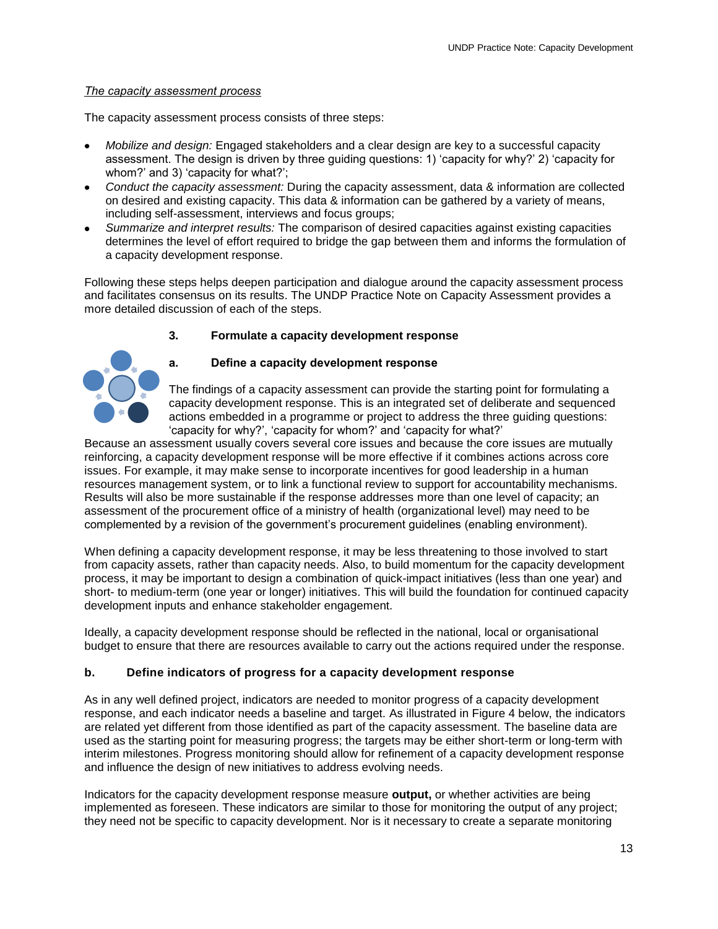#### *The capacity assessment process*

The capacity assessment process consists of three steps:

- *Mobilize and design:* Engaged stakeholders and a clear design are key to a successful capacity assessment. The design is driven by three guiding questions: 1) 'capacity for why?' 2) 'capacity for whom?' and 3) 'capacity for what?';
- *Conduct the capacity assessment:* During the capacity assessment, data & information are collected on desired and existing capacity. This data & information can be gathered by a variety of means, including self-assessment, interviews and focus groups;
- *Summarize and interpret results:* The comparison of desired capacities against existing capacities determines the level of effort required to bridge the gap between them and informs the formulation of a capacity development response.

Following these steps helps deepen participation and dialogue around the capacity assessment process and facilitates consensus on its results. The UNDP Practice Note on Capacity Assessment provides a more detailed discussion of each of the steps.

# **3. Formulate a capacity development response**

<span id="page-13-0"></span>

# **a. Define a capacity development response**

The findings of a capacity assessment can provide the starting point for formulating a capacity development response. This is an integrated set of deliberate and sequenced actions embedded in a programme or project to address the three guiding questions: 'capacity for why?', 'capacity for whom?' and 'capacity for what?'

Because an assessment usually covers several core issues and because the core issues are mutually reinforcing, a capacity development response will be more effective if it combines actions across core issues. For example, it may make sense to incorporate incentives for good leadership in a human resources management system, or to link a functional review to support for accountability mechanisms. Results will also be more sustainable if the response addresses more than one level of capacity; an assessment of the procurement office of a ministry of health (organizational level) may need to be complemented by a revision of the government's procurement guidelines (enabling environment).

When defining a capacity development response, it may be less threatening to those involved to start from capacity assets, rather than capacity needs. Also, to build momentum for the capacity development process, it may be important to design a combination of quick-impact initiatives (less than one year) and short- to medium-term (one year or longer) initiatives. This will build the foundation for continued capacity development inputs and enhance stakeholder engagement.

Ideally, a capacity development response should be reflected in the national, local or organisational budget to ensure that there are resources available to carry out the actions required under the response.

# **b. Define indicators of progress for a capacity development response**

As in any well defined project, indicators are needed to monitor progress of a capacity development response, and each indicator needs a baseline and target. As illustrated in Figure 4 below, the indicators are related yet different from those identified as part of the capacity assessment. The baseline data are used as the starting point for measuring progress; the targets may be either short-term or long-term with interim milestones. Progress monitoring should allow for refinement of a capacity development response and influence the design of new initiatives to address evolving needs.

Indicators for the capacity development response measure **output,** or whether activities are being implemented as foreseen. These indicators are similar to those for monitoring the output of any project; they need not be specific to capacity development. Nor is it necessary to create a separate monitoring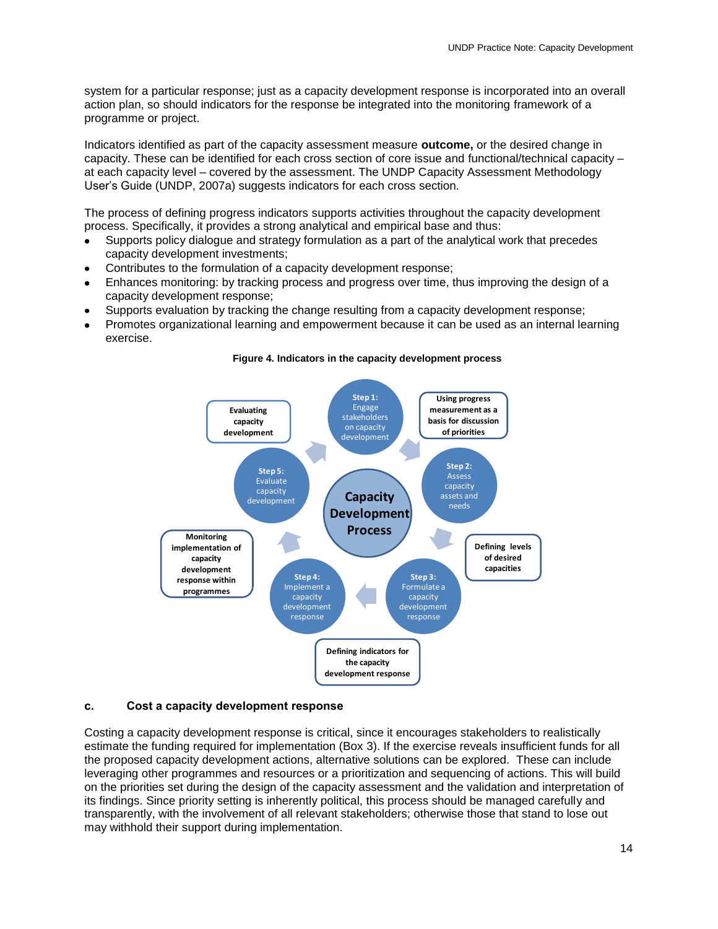system for a particular response; just as a capacity development response is incorporated into an overall action plan, so should indicators for the response be integrated into the monitoring framework of a programme or project.

Indicators identified as part of the capacity assessment measure **outcome,** or the desired change in capacity. These can be identified for each cross section of core issue and functional/technical capacity – at each capacity level – covered by the assessment. The UNDP Capacity Assessment Methodology User's Guide (UNDP, 2007a) suggests indicators for each cross section.

The process of defining progress indicators supports activities throughout the capacity development process. Specifically, it provides a strong analytical and empirical base and thus:

- Supports policy dialogue and strategy formulation as a part of the analytical work that precedes capacity development investments;
- Contributes to the formulation of a capacity development response;
- Enhances monitoring: by tracking process and progress over time, thus improving the design of a capacity development response;
- Supports evaluation by tracking the change resulting from a capacity development response;
- Promotes organizational learning and empowerment because it can be used as an internal learning exercise.



#### **Figure 4. Indicators in the capacity development process**

#### **c. Cost a capacity development response**

Costing a capacity development response is critical, since it encourages stakeholders to realistically estimate the funding required for implementation (Box 3). If the exercise reveals insufficient funds for all the proposed capacity development actions, alternative solutions can be explored. These can include leveraging other programmes and resources or a prioritization and sequencing of actions. This will build on the priorities set during the design of the capacity assessment and the validation and interpretation of its findings. Since priority setting is inherently political, this process should be managed carefully and transparently, with the involvement of all relevant stakeholders; otherwise those that stand to lose out may withhold their support during implementation.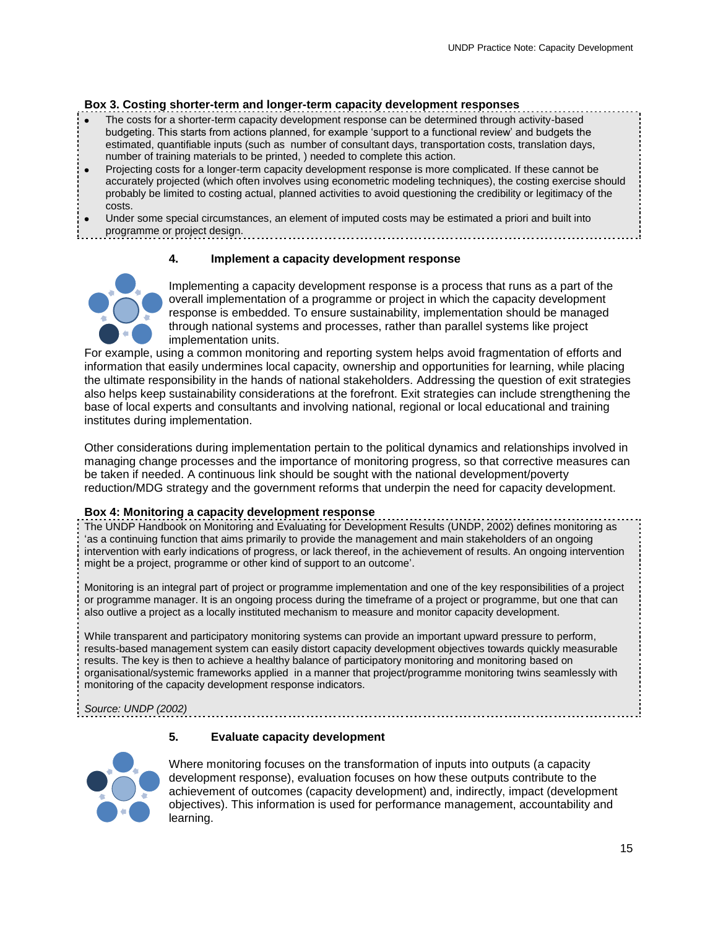# **Box 3. Costing shorter-term and longer-term capacity development responses**

- The costs for a shorter-term capacity development response can be determined through activity-based budgeting. This starts from actions planned, for example 'support to a functional review' and budgets the estimated, quantifiable inputs (such as number of consultant days, transportation costs, translation days, number of training materials to be printed, ) needed to complete this action.
- Projecting costs for a longer-term capacity development response is more complicated. If these cannot be accurately projected (which often involves using econometric modeling techniques), the costing exercise should probably be limited to costing actual, planned activities to avoid questioning the credibility or legitimacy of the costs.
- Under some special circumstances, an element of imputed costs may be estimated a priori and built into programme or project design.

# **4. Implement a capacity development response**

<span id="page-15-0"></span>

Implementing a capacity development response is a process that runs as a part of the overall implementation of a programme or project in which the capacity development response is embedded. To ensure sustainability, implementation should be managed through national systems and processes, rather than parallel systems like project implementation units.

For example, using a common monitoring and reporting system helps avoid fragmentation of efforts and information that easily undermines local capacity, ownership and opportunities for learning, while placing the ultimate responsibility in the hands of national stakeholders. Addressing the question of exit strategies also helps keep sustainability considerations at the forefront. Exit strategies can include strengthening the base of local experts and consultants and involving national, regional or local educational and training institutes during implementation.

Other considerations during implementation pertain to the political dynamics and relationships involved in managing change processes and the importance of monitoring progress, so that corrective measures can be taken if needed. A continuous link should be sought with the national development/poverty reduction/MDG strategy and the government reforms that underpin the need for capacity development.

# **Box 4: Monitoring a capacity development response**

The UNDP Handbook on Monitoring and Evaluating for Development Results (UNDP, 2002) defines monitoring as 'as a continuing function that aims primarily to provide the management and main stakeholders of an ongoing intervention with early indications of progress, or lack thereof, in the achievement of results. An ongoing intervention might be a project, programme or other kind of support to an outcome'.

Monitoring is an integral part of project or programme implementation and one of the key responsibilities of a project or programme manager. It is an ongoing process during the timeframe of a project or programme, but one that can also outlive a project as a locally instituted mechanism to measure and monitor capacity development.

While transparent and participatory monitoring systems can provide an important upward pressure to perform, results-based management system can easily distort capacity development objectives towards quickly measurable results. The key is then to achieve a healthy balance of participatory monitoring and monitoring based on organisational/systemic frameworks applied in a manner that project/programme monitoring twins seamlessly with monitoring of the capacity development response indicators.

*Source: UNDP (2002)*

# **5. Evaluate capacity development**

<span id="page-15-1"></span>

Where monitoring focuses on the transformation of inputs into outputs (a capacity development response), evaluation focuses on how these outputs contribute to the achievement of outcomes (capacity development) and, indirectly, impact (development objectives). This information is used for performance management, accountability and learning.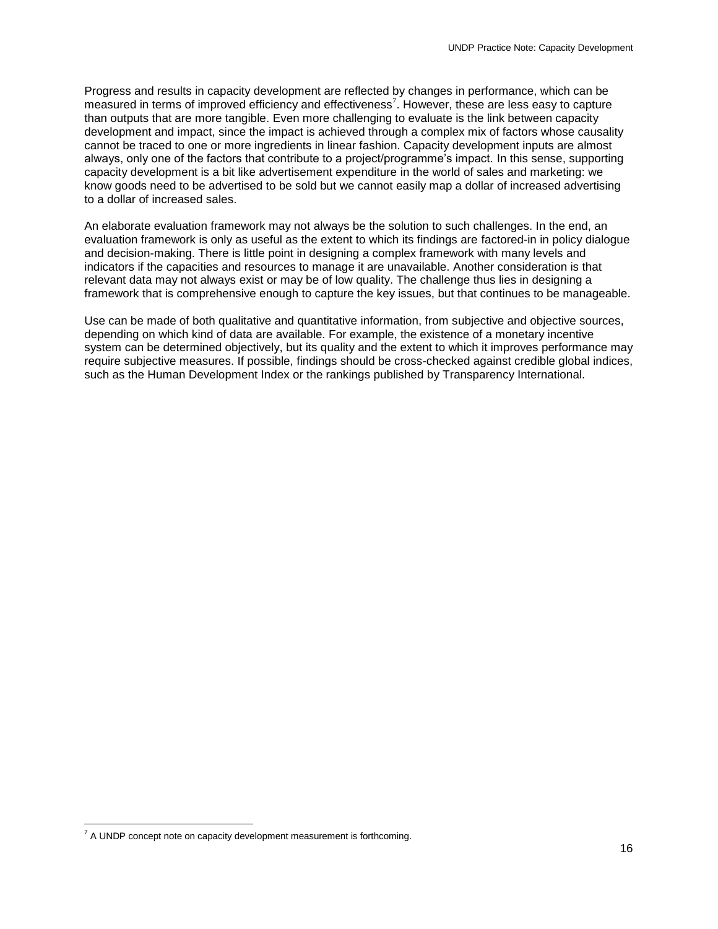Progress and results in capacity development are reflected by changes in performance, which can be measured in terms of improved efficiency and effectiveness<sup>7</sup>. However, these are less easy to capture than outputs that are more tangible. Even more challenging to evaluate is the link between capacity development and impact, since the impact is achieved through a complex mix of factors whose causality cannot be traced to one or more ingredients in linear fashion. Capacity development inputs are almost always, only one of the factors that contribute to a project/programme's impact. In this sense, supporting capacity development is a bit like advertisement expenditure in the world of sales and marketing: we know goods need to be advertised to be sold but we cannot easily map a dollar of increased advertising to a dollar of increased sales.

An elaborate evaluation framework may not always be the solution to such challenges. In the end, an evaluation framework is only as useful as the extent to which its findings are factored-in in policy dialogue and decision-making. There is little point in designing a complex framework with many levels and indicators if the capacities and resources to manage it are unavailable. Another consideration is that relevant data may not always exist or may be of low quality. The challenge thus lies in designing a framework that is comprehensive enough to capture the key issues, but that continues to be manageable.

Use can be made of both qualitative and quantitative information, from subjective and objective sources, depending on which kind of data are available. For example, the existence of a monetary incentive system can be determined objectively, but its quality and the extent to which it improves performance may require subjective measures. If possible, findings should be cross-checked against credible global indices, such as the Human Development Index or the rankings published by Transparency International.

 $\overline{a}$ 

 $<sup>7</sup>$  A UNDP concept note on capacity development measurement is forthcoming.</sup>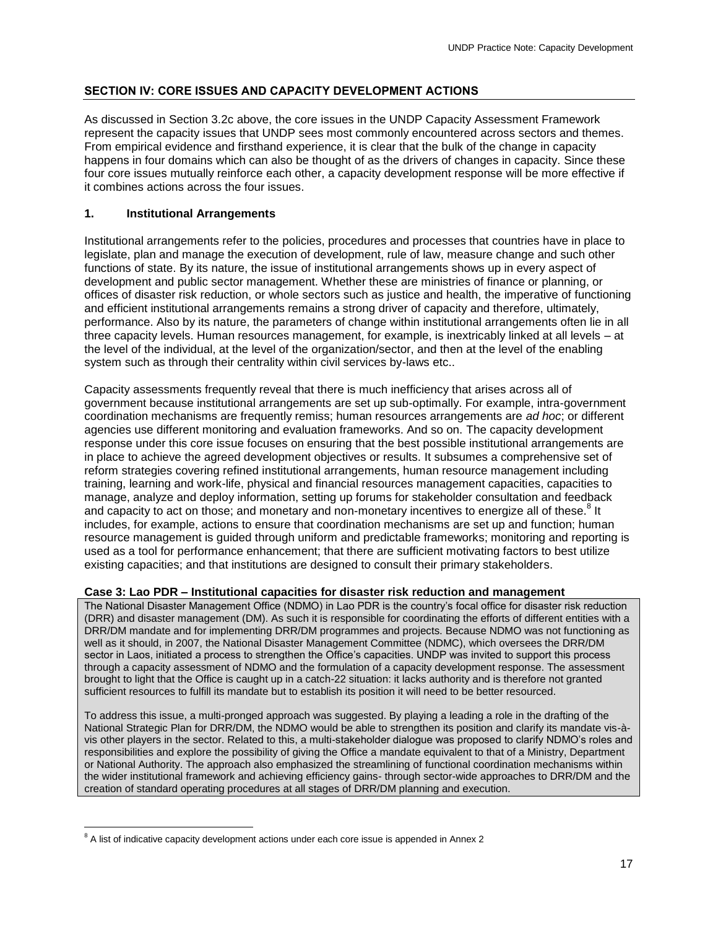# <span id="page-17-0"></span>**SECTION IV: CORE ISSUES AND CAPACITY DEVELOPMENT ACTIONS**

As discussed in Section 3.2c above, the core issues in the UNDP Capacity Assessment Framework represent the capacity issues that UNDP sees most commonly encountered across sectors and themes. From empirical evidence and firsthand experience, it is clear that the bulk of the change in capacity happens in four domains which can also be thought of as the drivers of changes in capacity. Since these four core issues mutually reinforce each other, a capacity development response will be more effective if it combines actions across the four issues.

# <span id="page-17-1"></span>**1. Institutional Arrangements**

Institutional arrangements refer to the policies, procedures and processes that countries have in place to legislate, plan and manage the execution of development, rule of law, measure change and such other functions of state. By its nature, the issue of institutional arrangements shows up in every aspect of development and public sector management. Whether these are ministries of finance or planning, or offices of disaster risk reduction, or whole sectors such as justice and health, the imperative of functioning and efficient institutional arrangements remains a strong driver of capacity and therefore, ultimately, performance. Also by its nature, the parameters of change within institutional arrangements often lie in all three capacity levels. Human resources management, for example, is inextricably linked at all levels – at the level of the individual, at the level of the organization/sector, and then at the level of the enabling system such as through their centrality within civil services by-laws etc..

Capacity assessments frequently reveal that there is much inefficiency that arises across all of government because institutional arrangements are set up sub-optimally. For example, intra-government coordination mechanisms are frequently remiss; human resources arrangements are *ad hoc*; or different agencies use different monitoring and evaluation frameworks. And so on. The capacity development response under this core issue focuses on ensuring that the best possible institutional arrangements are in place to achieve the agreed development objectives or results. It subsumes a comprehensive set of reform strategies covering refined institutional arrangements, human resource management including training, learning and work-life, physical and financial resources management capacities, capacities to manage, analyze and deploy information, setting up forums for stakeholder consultation and feedback and capacity to act on those; and monetary and non-monetary incentives to energize all of these.<sup>8</sup> It includes, for example, actions to ensure that coordination mechanisms are set up and function; human resource management is guided through uniform and predictable frameworks; monitoring and reporting is used as a tool for performance enhancement; that there are sufficient motivating factors to best utilize existing capacities; and that institutions are designed to consult their primary stakeholders.

# **Case 3: Lao PDR – Institutional capacities for disaster risk reduction and management**

The National Disaster Management Office (NDMO) in Lao PDR is the country's focal office for disaster risk reduction (DRR) and disaster management (DM). As such it is responsible for coordinating the efforts of different entities with a DRR/DM mandate and for implementing DRR/DM programmes and projects. Because NDMO was not functioning as well as it should, in 2007, the National Disaster Management Committee (NDMC), which oversees the DRR/DM sector in Laos, initiated a process to strengthen the Office's capacities. UNDP was invited to support this process through a capacity assessment of NDMO and the formulation of a capacity development response. The assessment brought to light that the Office is caught up in a catch-22 situation: it lacks authority and is therefore not granted sufficient resources to fulfill its mandate but to establish its position it will need to be better resourced.

To address this issue, a multi-pronged approach was suggested. By playing a leading a role in the drafting of the National Strategic Plan for DRR/DM, the NDMO would be able to strengthen its position and clarify its mandate vis-àvis other players in the sector. Related to this, a multi-stakeholder dialogue was proposed to clarify NDMO's roles and responsibilities and explore the possibility of giving the Office a mandate equivalent to that of a Ministry, Department or National Authority. The approach also emphasized the streamlining of functional coordination mechanisms within the wider institutional framework and achieving efficiency gains- through sector-wide approaches to DRR/DM and the creation of standard operating procedures at all stages of DRR/DM planning and execution.

 $\overline{a}$ 

 $8$  A list of indicative capacity development actions under each core issue is appended in Annex 2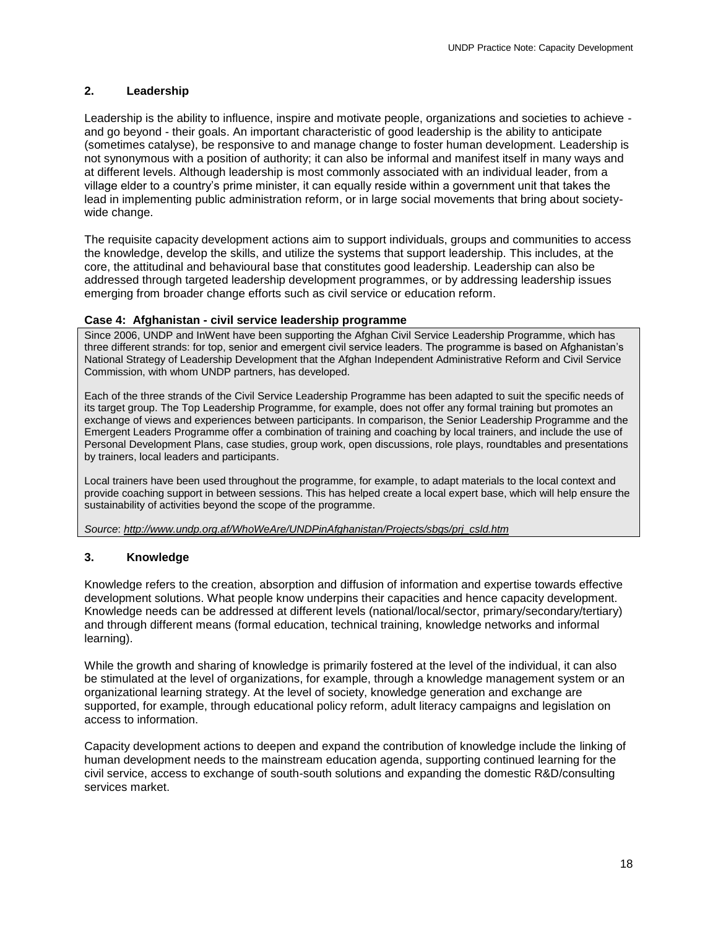# <span id="page-18-0"></span>**2. Leadership**

Leadership is the ability to influence, inspire and motivate people, organizations and societies to achieve and go beyond - their goals. An important characteristic of good leadership is the ability to anticipate (sometimes catalyse), be responsive to and manage change to foster human development. Leadership is not synonymous with a position of authority; it can also be informal and manifest itself in many ways and at different levels. Although leadership is most commonly associated with an individual leader, from a village elder to a country's prime minister, it can equally reside within a government unit that takes the lead in implementing public administration reform, or in large social movements that bring about societywide change.

The requisite capacity development actions aim to support individuals, groups and communities to access the knowledge, develop the skills, and utilize the systems that support leadership. This includes, at the core, the attitudinal and behavioural base that constitutes good leadership. Leadership can also be addressed through targeted leadership development programmes, or by addressing leadership issues emerging from broader change efforts such as civil service or education reform.

# **Case 4: Afghanistan - civil service leadership programme**

Since 2006, UNDP and InWent have been supporting the Afghan Civil Service Leadership Programme, which has three different strands: for top, senior and emergent civil service leaders. The programme is based on Afghanistan's National Strategy of Leadership Development that the Afghan Independent Administrative Reform and Civil Service Commission, with whom UNDP partners, has developed.

Each of the three strands of the Civil Service Leadership Programme has been adapted to suit the specific needs of its target group. The Top Leadership Programme, for example, does not offer any formal training but promotes an exchange of views and experiences between participants. In comparison, the Senior Leadership Programme and the Emergent Leaders Programme offer a combination of training and coaching by local trainers, and include the use of Personal Development Plans, case studies, group work, open discussions, role plays, roundtables and presentations by trainers, local leaders and participants.

Local trainers have been used throughout the programme, for example, to adapt materials to the local context and provide coaching support in between sessions. This has helped create a local expert base, which will help ensure the sustainability of activities beyond the scope of the programme.

*Source*: *[http://www.undp.org.af/WhoWeAre/UNDPinAfghanistan/Projects/sbgs/prj\\_csld.htm](http://www.undp.org.af/WhoWeAre/UNDPinAfghanistan/Projects/sbgs/prj_csld.htm)*

# <span id="page-18-1"></span>**3. Knowledge**

Knowledge refers to the creation, absorption and diffusion of information and expertise towards effective development solutions. What people know underpins their capacities and hence capacity development. Knowledge needs can be addressed at different levels (national/local/sector, primary/secondary/tertiary) and through different means (formal education, technical training, knowledge networks and informal learning).

While the growth and sharing of knowledge is primarily fostered at the level of the individual, it can also be stimulated at the level of organizations, for example, through a knowledge management system or an organizational learning strategy. At the level of society, knowledge generation and exchange are supported, for example, through educational policy reform, adult literacy campaigns and legislation on access to information.

Capacity development actions to deepen and expand the contribution of knowledge include the linking of human development needs to the mainstream education agenda, supporting continued learning for the civil service, access to exchange of south-south solutions and expanding the domestic R&D/consulting services market.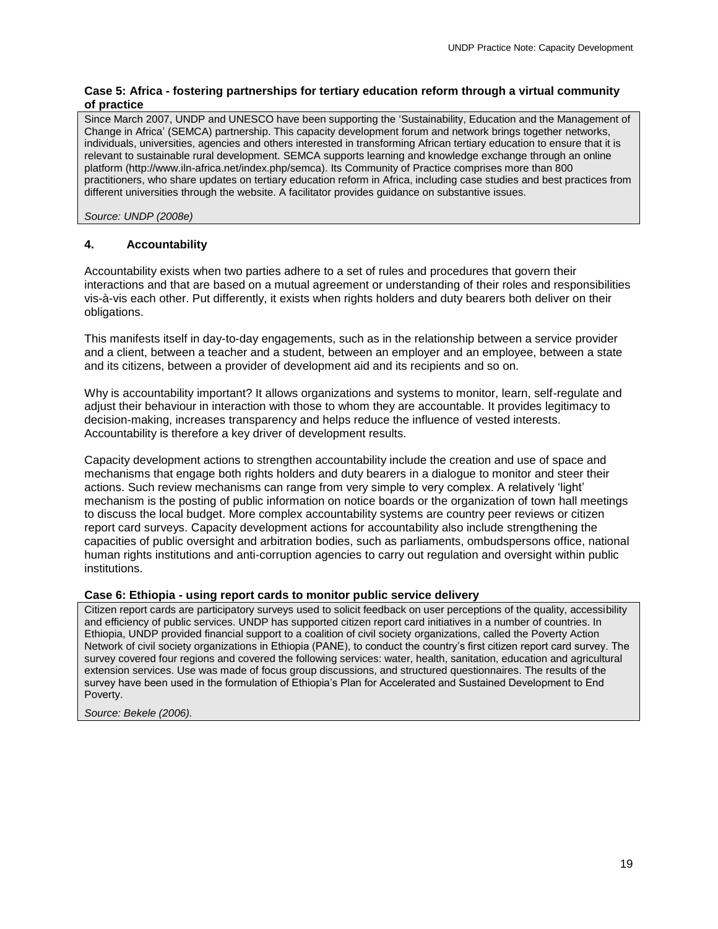# **Case 5: Africa - fostering partnerships for tertiary education reform through a virtual community of practice**

Since March 2007, UNDP and UNESCO have been supporting the 'Sustainability, Education and the Management of Change in Africa' (SEMCA) partnership. This capacity development forum and network brings together networks, individuals, universities, agencies and others interested in transforming African tertiary education to ensure that it is relevant to sustainable rural development. SEMCA supports learning and knowledge exchange through an online platform (http://www.iln-africa.net/index.php/semca). Its Community of Practice comprises more than 800 practitioners, who share updates on tertiary education reform in Africa, including case studies and best practices from different universities through the website. A facilitator provides guidance on substantive issues.

*Source: UNDP (2008e)* 

# <span id="page-19-0"></span>**4. Accountability**

Accountability exists when two parties adhere to a set of rules and procedures that govern their interactions and that are based on a mutual agreement or understanding of their roles and responsibilities vis-à-vis each other. Put differently, it exists when rights holders and duty bearers both deliver on their obligations.

This manifests itself in day-to-day engagements, such as in the relationship between a service provider and a client, between a teacher and a student, between an employer and an employee, between a state and its citizens, between a provider of development aid and its recipients and so on.

Why is accountability important? It allows organizations and systems to monitor, learn, self-regulate and adjust their behaviour in interaction with those to whom they are accountable. It provides legitimacy to decision-making, increases transparency and helps reduce the influence of vested interests. Accountability is therefore a key driver of development results.

Capacity development actions to strengthen accountability include the creation and use of space and mechanisms that engage both rights holders and duty bearers in a dialogue to monitor and steer their actions. Such review mechanisms can range from very simple to very complex. A relatively 'light' mechanism is the posting of public information on notice boards or the organization of town hall meetings to discuss the local budget. More complex accountability systems are country peer reviews or citizen report card surveys. Capacity development actions for accountability also include strengthening the capacities of public oversight and arbitration bodies, such as parliaments, ombudspersons office, national human rights institutions and anti-corruption agencies to carry out regulation and oversight within public institutions.

# **Case 6: Ethiopia - using report cards to monitor public service delivery**

Citizen report cards are participatory surveys used to solicit feedback on user perceptions of the quality, accessibility and efficiency of public services. UNDP has supported citizen report card initiatives in a number of countries. In Ethiopia, UNDP provided financial support to a coalition of civil society organizations, called the Poverty Action Network of civil society organizations in Ethiopia (PANE), to conduct the country's first citizen report card survey. The survey covered four regions and covered the following services: water, health, sanitation, education and agricultural extension services. Use was made of focus group discussions, and structured questionnaires. The results of the survey have been used in the formulation of Ethiopia's Plan for Accelerated and Sustained Development to End Poverty.

*Source: Bekele (2006).*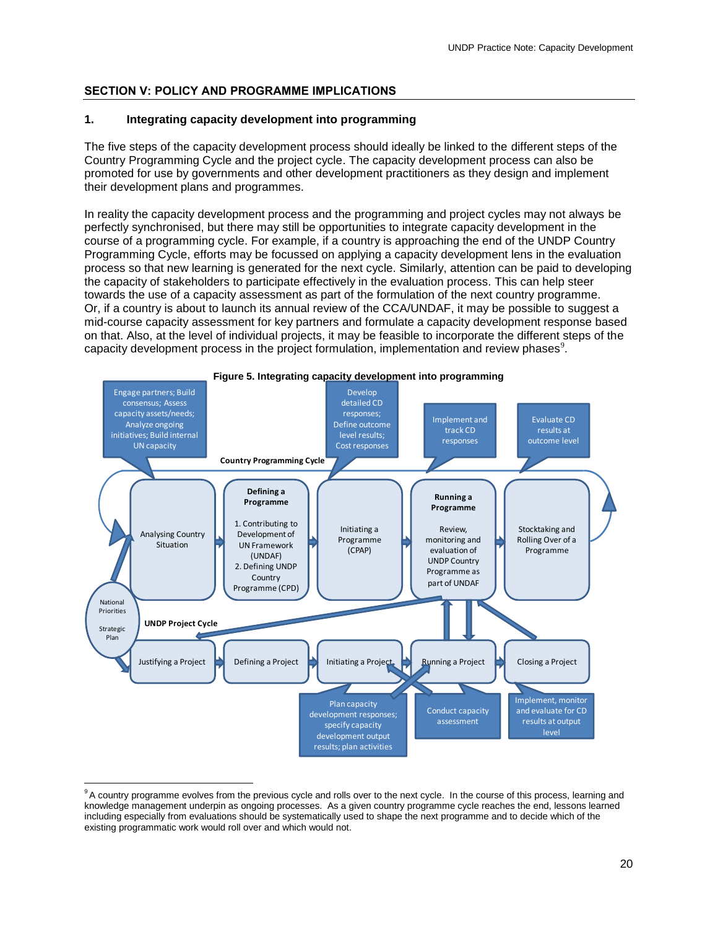# <span id="page-20-0"></span>**SECTION V: POLICY AND PROGRAMME IMPLICATIONS**

# <span id="page-20-1"></span>**1. Integrating capacity development into programming**

The five steps of the capacity development process should ideally be linked to the different steps of the Country Programming Cycle and the project cycle. The capacity development process can also be promoted for use by governments and other development practitioners as they design and implement their development plans and programmes.

In reality the capacity development process and the programming and project cycles may not always be perfectly synchronised, but there may still be opportunities to integrate capacity development in the course of a programming cycle. For example, if a country is approaching the end of the UNDP Country Programming Cycle, efforts may be focussed on applying a capacity development lens in the evaluation process so that new learning is generated for the next cycle. Similarly, attention can be paid to developing the capacity of stakeholders to participate effectively in the evaluation process. This can help steer towards the use of a capacity assessment as part of the formulation of the next country programme. Or, if a country is about to launch its annual review of the CCA/UNDAF, it may be possible to suggest a mid-course capacity assessment for key partners and formulate a capacity development response based on that. Also, at the level of individual projects, it may be feasible to incorporate the different steps of the capacity development process in the project formulation, implementation and review phases<sup>9</sup>.



<sup>&</sup>lt;sup>9</sup>A country programme evolves from the previous cycle and rolls over to the next cycle. In the course of this process, learning and knowledge management underpin as ongoing processes. As a given country programme cycle reaches the end, lessons learned including especially from evaluations should be systematically used to shape the next programme and to decide which of the existing programmatic work would roll over and which would not.

 $\overline{a}$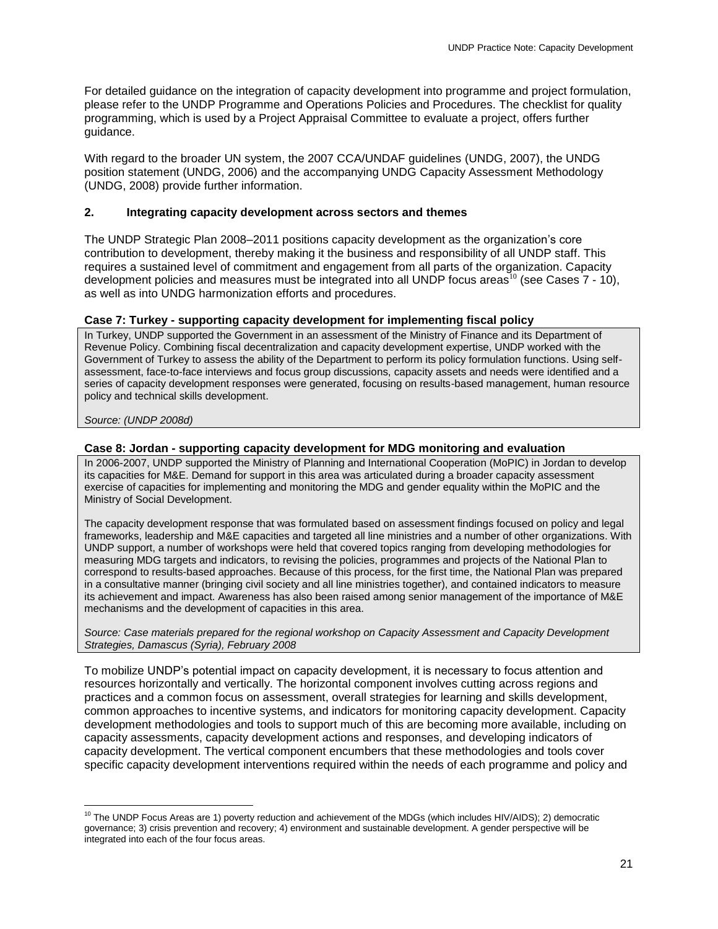For detailed guidance on the integration of capacity development into programme and project formulation, please refer to the UNDP Programme and Operations Policies and Procedures. The checklist for quality programming, which is used by a Project Appraisal Committee to evaluate a project, offers further guidance.

With regard to the broader UN system, the 2007 CCA/UNDAF guidelines (UNDG, 2007), the UNDG position statement (UNDG, 2006) and the accompanying UNDG Capacity Assessment Methodology (UNDG, 2008) provide further information.

# <span id="page-21-0"></span>**2. Integrating capacity development across sectors and themes**

The UNDP Strategic Plan 2008–2011 positions capacity development as the organization's core contribution to development, thereby making it the business and responsibility of all UNDP staff. This requires a sustained level of commitment and engagement from all parts of the organization. Capacity development policies and measures must be integrated into all UNDP focus areas<sup>10</sup> (see Cases  $7 - 10$ ), as well as into UNDG harmonization efforts and procedures.

# **Case 7: Turkey - supporting capacity development for implementing fiscal policy**

In Turkey, UNDP supported the Government in an assessment of the Ministry of Finance and its Department of Revenue Policy. Combining fiscal decentralization and capacity development expertise, UNDP worked with the Government of Turkey to assess the ability of the Department to perform its policy formulation functions. Using selfassessment, face-to-face interviews and focus group discussions, capacity assets and needs were identified and a series of capacity development responses were generated, focusing on results-based management, human resource policy and technical skills development.

# *Source: (UNDP 2008d)*

# **Case 8: Jordan - supporting capacity development for MDG monitoring and evaluation**

In 2006-2007, UNDP supported the Ministry of Planning and International Cooperation (MoPIC) in Jordan to develop its capacities for M&E. Demand for support in this area was articulated during a broader capacity assessment exercise of capacities for implementing and monitoring the MDG and gender equality within the MoPIC and the Ministry of Social Development.

The capacity development response that was formulated based on assessment findings focused on policy and legal frameworks, leadership and M&E capacities and targeted all line ministries and a number of other organizations. With UNDP support, a number of workshops were held that covered topics ranging from developing methodologies for measuring MDG targets and indicators, to revising the policies, programmes and projects of the National Plan to correspond to results-based approaches. Because of this process, for the first time, the National Plan was prepared in a consultative manner (bringing civil society and all line ministries together), and contained indicators to measure its achievement and impact. Awareness has also been raised among senior management of the importance of M&E mechanisms and the development of capacities in this area.

*Source: Case materials prepared for the regional workshop on Capacity Assessment and Capacity Development Strategies, Damascus (Syria), February 2008*

To mobilize UNDP's potential impact on capacity development, it is necessary to focus attention and resources horizontally and vertically. The horizontal component involves cutting across regions and practices and a common focus on assessment, overall strategies for learning and skills development, common approaches to incentive systems, and indicators for monitoring capacity development. Capacity development methodologies and tools to support much of this are becoming more available, including on capacity assessments, capacity development actions and responses, and developing indicators of capacity development. The vertical component encumbers that these methodologies and tools cover specific capacity development interventions required within the needs of each programme and policy and

 $\overline{a}$  $10$  The UNDP Focus Areas are 1) poverty reduction and achievement of the MDGs (which includes HIV/AIDS); 2) democratic governance; 3) crisis prevention and recovery; 4) environment and sustainable development. A gender perspective will be integrated into each of the four focus areas.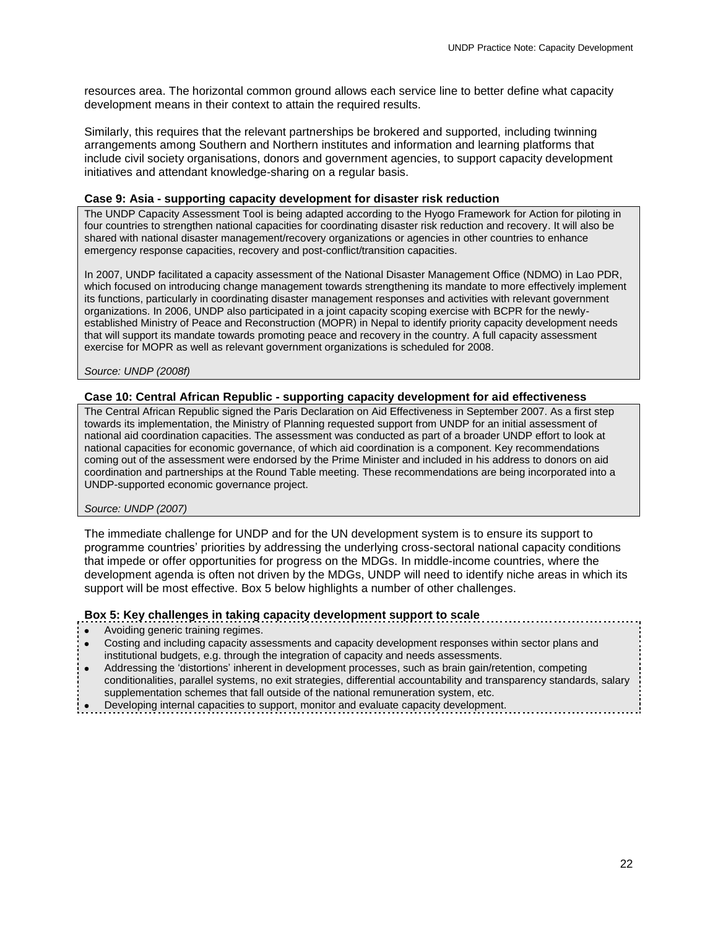resources area. The horizontal common ground allows each service line to better define what capacity development means in their context to attain the required results.

Similarly, this requires that the relevant partnerships be brokered and supported, including twinning arrangements among Southern and Northern institutes and information and learning platforms that include civil society organisations, donors and government agencies, to support capacity development initiatives and attendant knowledge-sharing on a regular basis.

#### **Case 9: Asia - supporting capacity development for disaster risk reduction**

The UNDP Capacity Assessment Tool is being adapted according to the Hyogo Framework for Action for piloting in four countries to strengthen national capacities for coordinating disaster risk reduction and recovery. It will also be shared with national disaster management/recovery organizations or agencies in other countries to enhance emergency response capacities, recovery and post-conflict/transition capacities.

In 2007, UNDP facilitated a capacity assessment of the National Disaster Management Office (NDMO) in Lao PDR, which focused on introducing change management towards strengthening its mandate to more effectively implement its functions, particularly in coordinating disaster management responses and activities with relevant government organizations. In 2006, UNDP also participated in a joint capacity scoping exercise with BCPR for the newlyestablished Ministry of Peace and Reconstruction (MOPR) in Nepal to identify priority capacity development needs that will support its mandate towards promoting peace and recovery in the country. A full capacity assessment exercise for MOPR as well as relevant government organizations is scheduled for 2008.

*Source: UNDP (2008f)* 

# **Case 10: Central African Republic - supporting capacity development for aid effectiveness**

The Central African Republic signed the Paris Declaration on Aid Effectiveness in September 2007. As a first step towards its implementation, the Ministry of Planning requested support from UNDP for an initial assessment of national aid coordination capacities. The assessment was conducted as part of a broader UNDP effort to look at national capacities for economic governance, of which aid coordination is a component. Key recommendations coming out of the assessment were endorsed by the Prime Minister and included in his address to donors on aid coordination and partnerships at the Round Table meeting. These recommendations are being incorporated into a UNDP-supported economic governance project.

#### *Source: UNDP (2007)*

The immediate challenge for UNDP and for the UN development system is to ensure its support to programme countries' priorities by addressing the underlying cross-sectoral national capacity conditions that impede or offer opportunities for progress on the MDGs. In middle-income countries, where the development agenda is often not driven by the MDGs, UNDP will need to identify niche areas in which its support will be most effective. Box 5 below highlights a number of other challenges.

# **Box 5: Key challenges in taking capacity development support to scale**

- Avoiding generic training regimes.
- Costing and including capacity assessments and capacity development responses within sector plans and institutional budgets, e.g. through the integration of capacity and needs assessments.
- Addressing the 'distortions' inherent in development processes, such as brain gain/retention, competing conditionalities, parallel systems, no exit strategies, differential accountability and transparency standards, salary supplementation schemes that fall outside of the national remuneration system, etc.
- Developing internal capacities to support, monitor and evaluate capacity development.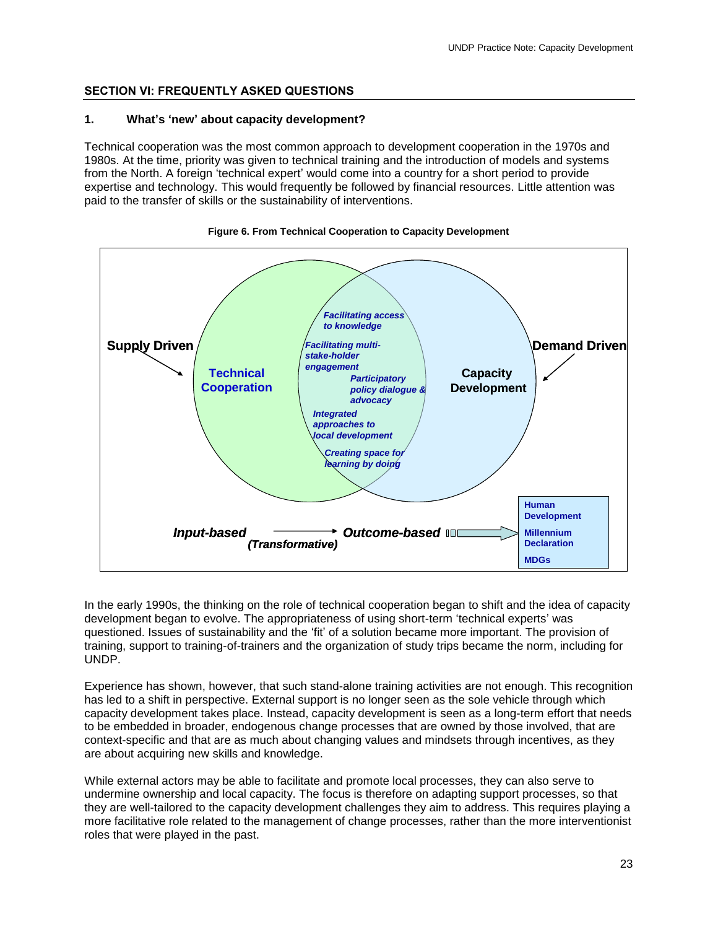# <span id="page-23-0"></span>**SECTION VI: FREQUENTLY ASKED QUESTIONS**

# **1. What's 'new' about capacity development?**

Technical cooperation was the most common approach to development cooperation in the 1970s and 1980s. At the time, priority was given to technical training and the introduction of models and systems from the North. A foreign 'technical expert' would come into a country for a short period to provide expertise and technology. This would frequently be followed by financial resources. Little attention was paid to the transfer of skills or the sustainability of interventions.





In the early 1990s, the thinking on the role of technical cooperation began to shift and the idea of capacity development began to evolve. The appropriateness of using short-term 'technical experts' was questioned. Issues of sustainability and the 'fit' of a solution became more important. The provision of training, support to training-of-trainers and the organization of study trips became the norm, including for UNDP.

Experience has shown, however, that such stand-alone training activities are not enough. This recognition has led to a shift in perspective. External support is no longer seen as the sole vehicle through which capacity development takes place. Instead, capacity development is seen as a long-term effort that needs to be embedded in broader, endogenous change processes that are owned by those involved, that are context-specific and that are as much about changing values and mindsets through incentives, as they are about acquiring new skills and knowledge.

While external actors may be able to facilitate and promote local processes, they can also serve to undermine ownership and local capacity. The focus is therefore on adapting support processes, so that they are well-tailored to the capacity development challenges they aim to address. This requires playing a more facilitative role related to the management of change processes, rather than the more interventionist roles that were played in the past.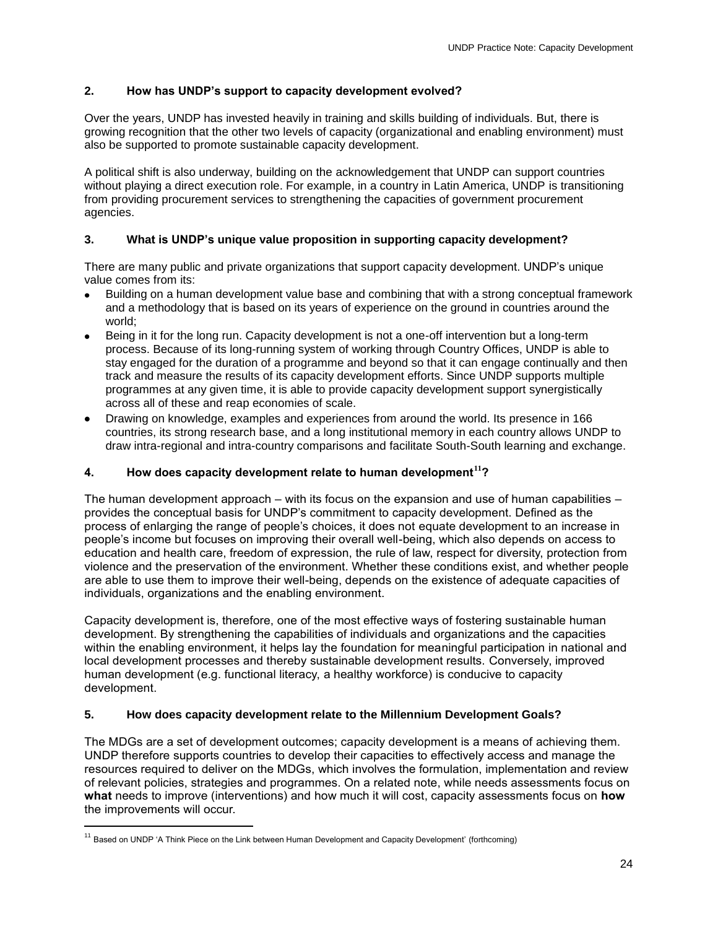# **2. How has UNDP's support to capacity development evolved?**

Over the years, UNDP has invested heavily in training and skills building of individuals. But, there is growing recognition that the other two levels of capacity (organizational and enabling environment) must also be supported to promote sustainable capacity development.

A political shift is also underway, building on the acknowledgement that UNDP can support countries without playing a direct execution role. For example, in a country in Latin America, UNDP is transitioning from providing procurement services to strengthening the capacities of government procurement agencies.

# **3. What is UNDP's unique value proposition in supporting capacity development?**

There are many public and private organizations that support capacity development. UNDP's unique value comes from its:

- Building on a human development value base and combining that with a strong conceptual framework and a methodology that is based on its years of experience on the ground in countries around the world;
- Being in it for the long run. Capacity development is not a one-off intervention but a long-term process. Because of its long-running system of working through Country Offices, UNDP is able to stay engaged for the duration of a programme and beyond so that it can engage continually and then track and measure the results of its capacity development efforts. Since UNDP supports multiple programmes at any given time, it is able to provide capacity development support synergistically across all of these and reap economies of scale.
- Drawing on knowledge, examples and experiences from around the world. Its presence in 166 countries, its strong research base, and a long institutional memory in each country allows UNDP to draw intra-regional and intra-country comparisons and facilitate South-South learning and exchange.

# **4. How does capacity development relate to human development<sup>11</sup>?**

The human development approach – with its focus on the expansion and use of human capabilities – provides the conceptual basis for UNDP's commitment to capacity development. Defined as the process of enlarging the range of people's choices, it does not equate development to an increase in people's income but focuses on improving their overall well-being, which also depends on access to education and health care, freedom of expression, the rule of law, respect for diversity, protection from violence and the preservation of the environment. Whether these conditions exist, and whether people are able to use them to improve their well-being, depends on the existence of adequate capacities of individuals, organizations and the enabling environment.

Capacity development is, therefore, one of the most effective ways of fostering sustainable human development. By strengthening the capabilities of individuals and organizations and the capacities within the enabling environment, it helps lay the foundation for meaningful participation in national and local development processes and thereby sustainable development results. Conversely, improved human development (e.g. functional literacy, a healthy workforce) is conducive to capacity development.

# **5. How does capacity development relate to the Millennium Development Goals?**

The MDGs are a set of development outcomes; capacity development is a means of achieving them. UNDP therefore supports countries to develop their capacities to effectively access and manage the resources required to deliver on the MDGs, which involves the formulation, implementation and review of relevant policies, strategies and programmes. On a related note, while needs assessments focus on **what** needs to improve (interventions) and how much it will cost, capacity assessments focus on **how** the improvements will occur.

 $\overline{a}$ 

<sup>&</sup>lt;sup>11</sup> Based on UNDP 'A Think Piece on the Link between Human Development and Capacity Development' (forthcoming)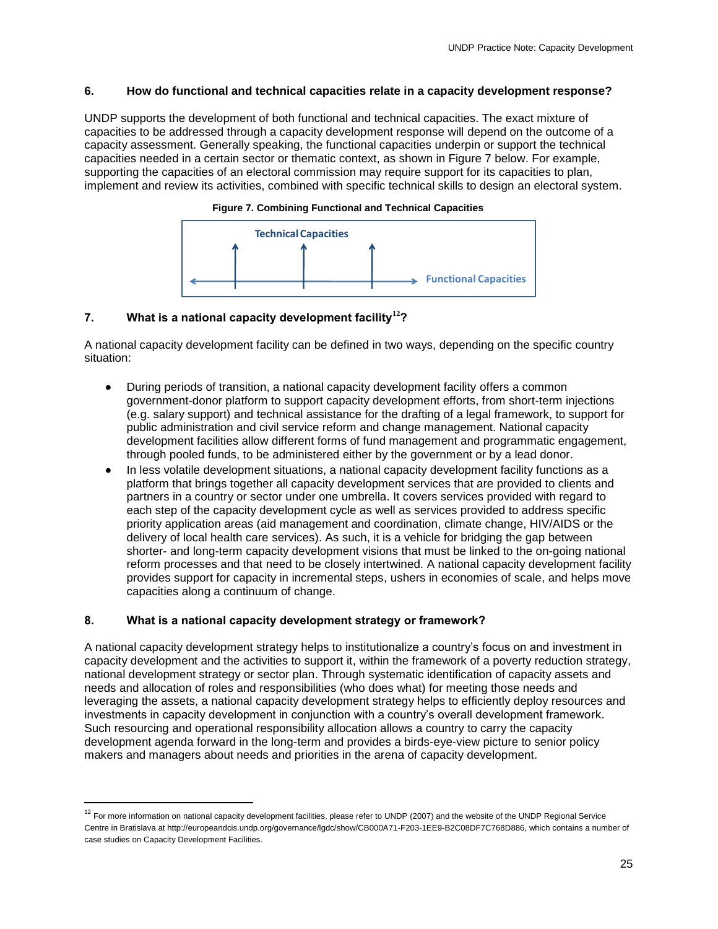# **6. How do functional and technical capacities relate in a capacity development response?**

UNDP supports the development of both functional and technical capacities. The exact mixture of capacities to be addressed through a capacity development response will depend on the outcome of a capacity assessment. Generally speaking, the functional capacities underpin or support the technical capacities needed in a certain sector or thematic context, as shown in Figure 7 below. For example, supporting the capacities of an electoral commission may require support for its capacities to plan, implement and review its activities, combined with specific technical skills to design an electoral system.



#### **Figure 7. Combining Functional and Technical Capacities**

# **7. What is a national capacity development facility<sup>12</sup>?**

A national capacity development facility can be defined in two ways, depending on the specific country situation:

- During periods of transition, a national capacity development facility offers a common government-donor platform to support capacity development efforts, from short-term injections (e.g. salary support) and technical assistance for the drafting of a legal framework, to support for public administration and civil service reform and change management. National capacity development facilities allow different forms of fund management and programmatic engagement, through pooled funds, to be administered either by the government or by a lead donor.
- In less volatile development situations, a national capacity development facility functions as a platform that brings together all capacity development services that are provided to clients and partners in a country or sector under one umbrella. It covers services provided with regard to each step of the capacity development cycle as well as services provided to address specific priority application areas (aid management and coordination, climate change, HIV/AIDS or the delivery of local health care services). As such, it is a vehicle for bridging the gap between shorter- and long-term capacity development visions that must be linked to the on-going national reform processes and that need to be closely intertwined. A national capacity development facility provides support for capacity in incremental steps, ushers in economies of scale, and helps move capacities along a continuum of change.

# **8. What is a national capacity development strategy or framework?**

 $\overline{a}$ 

A national capacity development strategy helps to institutionalize a country's focus on and investment in capacity development and the activities to support it, within the framework of a poverty reduction strategy, national development strategy or sector plan. Through systematic identification of capacity assets and needs and allocation of roles and responsibilities (who does what) for meeting those needs and leveraging the assets, a national capacity development strategy helps to efficiently deploy resources and investments in capacity development in conjunction with a country's overall development framework. Such resourcing and operational responsibility allocation allows a country to carry the capacity development agenda forward in the long-term and provides a birds-eye-view picture to senior policy makers and managers about needs and priorities in the arena of capacity development.

 $12$  For more information on national capacity development facilities, please refer to UNDP (2007) and the website of the UNDP Regional Service Centre in Bratislava at http://europeandcis.undp.org/governance/lgdc/show/CB000A71-F203-1EE9-B2C08DF7C768D886, which contains a number of case studies on Capacity Development Facilities.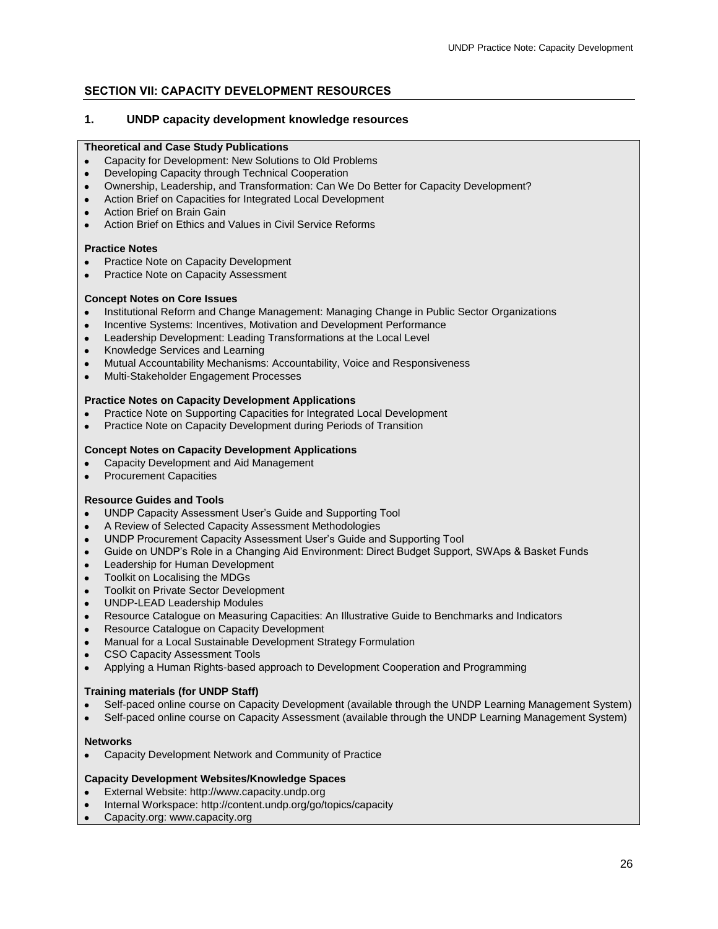# <span id="page-26-0"></span>**SECTION VII: CAPACITY DEVELOPMENT RESOURCES**

# <span id="page-26-1"></span>**1. UNDP capacity development knowledge resources**

#### **Theoretical and Case Study Publications**

- Capacity for Development: New Solutions to Old Problems
- Developing Capacity through Technical Cooperation
- Ownership, Leadership, and Transformation: Can We Do Better for Capacity Development?
- Action Brief on Capacities for Integrated Local Development
- Action Brief on Brain Gain
- Action Brief on Ethics and Values in Civil Service Reforms

#### **Practice Notes**

- Practice Note on Capacity Development
- Practice Note on Capacity Assessment

#### **Concept Notes on Core Issues**

- Institutional Reform and Change Management: Managing Change in Public Sector Organizations
- Incentive Systems: Incentives, Motivation and Development Performance
- Leadership Development: Leading Transformations at the Local Level
- Knowledge Services and Learning
- Mutual Accountability Mechanisms: Accountability, Voice and Responsiveness
- Multi-Stakeholder Engagement Processes

#### **Practice Notes on Capacity Development Applications**

- Practice Note on Supporting Capacities for Integrated Local Development
- Practice Note on Capacity Development during Periods of Transition  $\bullet$

#### **Concept Notes on Capacity Development Applications**

- Capacity Development and Aid Management
- Procurement Capacities  $\bullet$

# **Resource Guides and Tools**

- UNDP Capacity Assessment User's Guide and Supporting Tool
- A Review of Selected Capacity Assessment Methodologies
- UNDP Procurement Capacity Assessment User's Guide and Supporting Tool
- Guide on UNDP's Role in a Changing Aid Environment: Direct Budget Support, SWAps & Basket Funds  $\bullet$
- Leadership for Human Development
- Toolkit on Localising the MDGs
- Toolkit on Private Sector Development
- UNDP-LEAD Leadership Modules
- Resource Catalogue on Measuring Capacities: An Illustrative Guide to Benchmarks and Indicators
- Resource Catalogue on Capacity Development
- Manual for a Local Sustainable Development Strategy Formulation
- CSO Capacity Assessment Tools
- Applying a Human Rights-based approach to Development Cooperation and Programming

# **Training materials (for UNDP Staff)**

- Self-paced online course on Capacity Development (available through the UNDP Learning Management System)
- Self-paced online course on Capacity Assessment (available through the UNDP Learning Management System)

#### **Networks**

Capacity Development Network and Community of Practice

# **Capacity Development Websites/Knowledge Spaces**

- External Website: http://www.capacity.undp.org
- Internal Workspace: http://content.undp.org/go/topics/capacity
- Capacity.org: www.capacity.org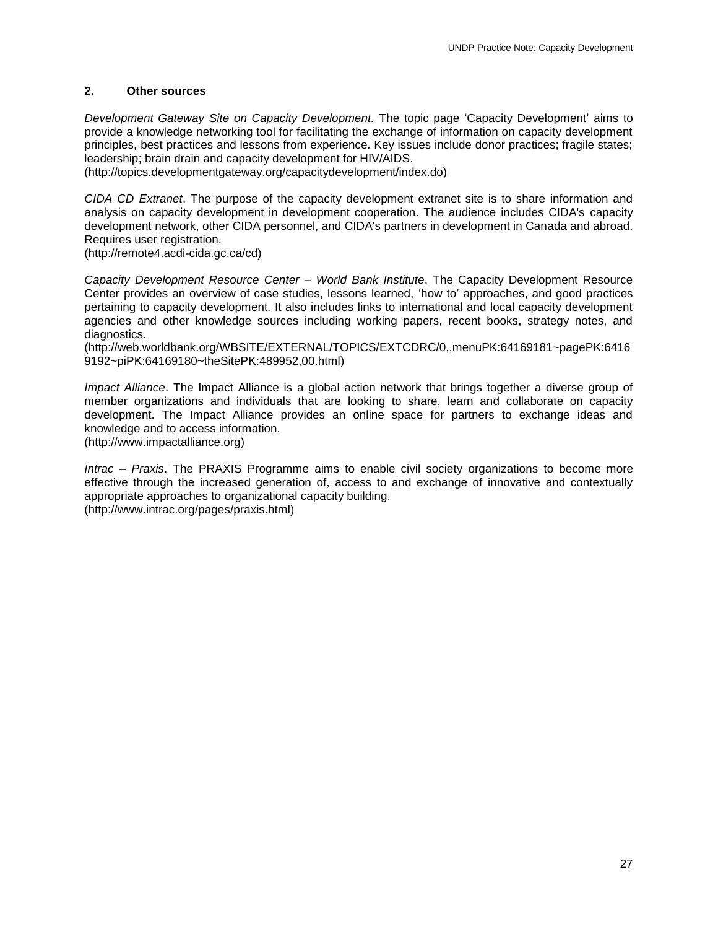# <span id="page-27-0"></span>**2. Other sources**

*Development Gateway Site on Capacity Development.* The topic page 'Capacity Development' aims to provide a knowledge networking tool for facilitating the exchange of information on capacity development principles, best practices and lessons from experience. Key issues include donor practices; fragile states; leadership; brain drain and capacity development for HIV/AIDS.

(http://topics.developmentgateway.org/capacitydevelopment/index.do)

*CIDA CD Extranet*. The purpose of the capacity development extranet site is to share information and analysis on capacity development in development cooperation. The audience includes CIDA's capacity development network, other CIDA personnel, and CIDA's partners in development in Canada and abroad. Requires user registration.

(http://remote4.acdi-cida.gc.ca/cd)

*Capacity Development Resource Center – World Bank Institute*. The Capacity Development Resource Center provides an overview of case studies, lessons learned, 'how to' approaches, and good practices pertaining to capacity development. It also includes links to international and local capacity development agencies and other knowledge sources including working papers, recent books, strategy notes, and diagnostics.

(http://web.worldbank.org/WBSITE/EXTERNAL/TOPICS/EXTCDRC/0,,menuPK:64169181~pagePK:6416 9192~piPK:64169180~theSitePK:489952,00.html)

*Impact Alliance*. The Impact Alliance is a global action network that brings together a diverse group of member organizations and individuals that are looking to share, learn and collaborate on capacity development. The Impact Alliance provides an online space for partners to exchange ideas and knowledge and to access information.

(http://www.impactalliance.org)

*Intrac – Praxis*. The PRAXIS Programme aims to enable civil society organizations to become more effective through the increased generation of, access to and exchange of innovative and contextually appropriate approaches to organizational capacity building. (http://www.intrac.org/pages/praxis.html)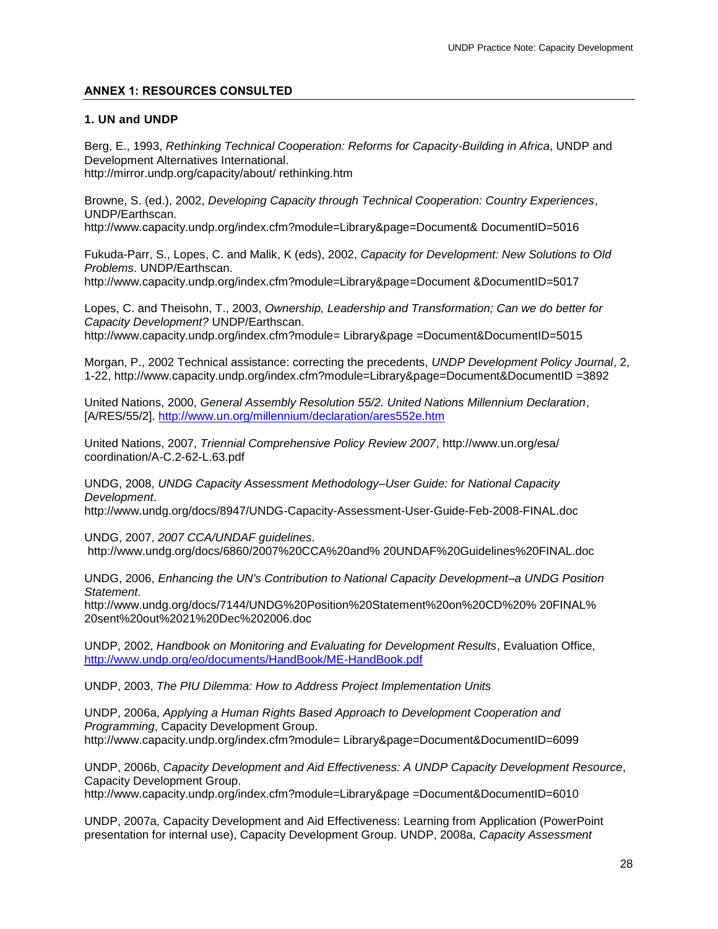# <span id="page-28-0"></span>**ANNEX 1: RESOURCES CONSULTED**

# **1. UN and UNDP**

Berg, E., 1993, *Rethinking Technical Cooperation: Reforms for Capacity-Building in Africa*, UNDP and Development Alternatives International. http://mirror.undp.org/capacity/about/ rethinking.htm

Browne, S. (ed.), 2002, *Developing Capacity through Technical Cooperation: Country Experiences*, UNDP/Earthscan.

http://www.capacity.undp.org/index.cfm?module=Library&page=Document& DocumentID=5016

Fukuda-Parr, S., Lopes, C. and Malik, K (eds), 2002, *Capacity for Development: New Solutions to Old Problems*. UNDP/Earthscan. http://www.capacity.undp.org/index.cfm?module=Library&page=Document &DocumentID=5017

Lopes, C. and Theisohn, T., 2003, *Ownership, Leadership and Transformation; Can we do better for Capacity Development?* UNDP/Earthscan. http://www.capacity.undp.org/index.cfm?module= Library&page =Document&DocumentID=5015

Morgan, P., 2002 Technical assistance: correcting the precedents, *UNDP Development Policy Journal*, 2, 1-22, http://www.capacity.undp.org/index.cfm?module=Library&page=Document&DocumentID =3892

United Nations, 2000, *General Assembly Resolution 55/2. United Nations Millennium Declaration*, [A/RES/55/2].<http://www.un.org/millennium/declaration/ares552e.htm>

United Nations, 2007, *Triennial Comprehensive Policy Review 2007*, http://www.un.org/esa/ coordination/A-C.2-62-L.63.pdf

UNDG, 2008, *UNDG Capacity Assessment Methodology–User Guide: for National Capacity Development*.

http://www.undg.org/docs/8947/UNDG-Capacity-Assessment-User-Guide-Feb-2008-FINAL.doc

UNDG, 2007, *2007 CCA/UNDAF guidelines*. http://www.undg.org/docs/6860/2007%20CCA%20and% 20UNDAF%20Guidelines%20FINAL.doc

UNDG, 2006, *Enhancing the UN's Contribution to National Capacity Development–a UNDG Position Statement*.

http://www.undg.org/docs/7144/UNDG%20Position%20Statement%20on%20CD%20% 20FINAL% 20sent%20out%2021%20Dec%202006.doc

UNDP, 2002, *Handbook on Monitoring and Evaluating for Development Results*, Evaluation Office, <http://www.undp.org/eo/documents/HandBook/ME-HandBook.pdf>

UNDP, 2003, *The PIU Dilemma: How to Address Project Implementation Units*

UNDP, 2006a, *Applying a Human Rights Based Approach to Development Cooperation and Programming*, Capacity Development Group. http://www.capacity.undp.org/index.cfm?module= Library&page=Document&DocumentID=6099

UNDP, 2006b, *Capacity Development and Aid Effectiveness: A UNDP Capacity Development Resource*, Capacity Development Group.

http://www.capacity.undp.org/index.cfm?module=Library&page =Document&DocumentID=6010

UNDP, 2007a, Capacity Development and Aid Effectiveness: Learning from Application (PowerPoint presentation for internal use), Capacity Development Group. UNDP, 2008a, *Capacity Assessment*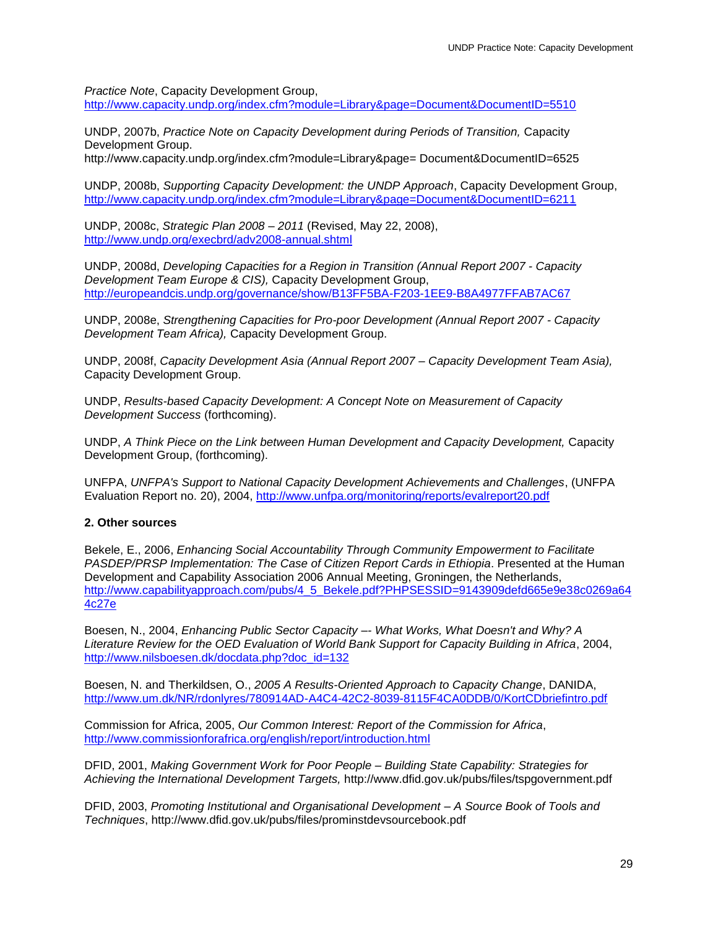*Practice Note*, Capacity Development Group,

<http://www.capacity.undp.org/index.cfm?module=Library&page=Document&DocumentID=5510>

UNDP, 2007b, *Practice Note on Capacity Development during Periods of Transition,* Capacity Development Group.

http://www.capacity.undp.org/index.cfm?module=Library&page= Document&DocumentID=6525

UNDP, 2008b, *Supporting Capacity Development: the UNDP Approach*, Capacity Development Group, <http://www.capacity.undp.org/index.cfm?module=Library&page=Document&DocumentID=6211>

UNDP, 2008c, *Strategic Plan 2008 – 2011* (Revised, May 22, 2008), <http://www.undp.org/execbrd/adv2008-annual.shtml>

UNDP, 2008d, *Developing Capacities for a Region in Transition (Annual Report 2007 - Capacity Development Team Europe & CIS),* Capacity Development Group, <http://europeandcis.undp.org/governance/show/B13FF5BA-F203-1EE9-B8A4977FFAB7AC67>

UNDP, 2008e, *Strengthening Capacities for Pro-poor Development (Annual Report 2007 - Capacity Development Team Africa),* Capacity Development Group.

UNDP, 2008f, *Capacity Development Asia (Annual Report 2007 – Capacity Development Team Asia),*  Capacity Development Group.

UNDP, *Results-based Capacity Development: A Concept Note on Measurement of Capacity Development Success* (forthcoming).

UNDP, *A Think Piece on the Link between Human Development and Capacity Development,* Capacity Development Group, (forthcoming).

UNFPA, *UNFPA's Support to National Capacity Development Achievements and Challenges*, (UNFPA Evaluation Report no. 20), 2004,<http://www.unfpa.org/monitoring/reports/evalreport20.pdf>

# **2. Other sources**

Bekele, E., 2006, *Enhancing Social Accountability Through Community Empowerment to Facilitate PASDEP/PRSP Implementation: The Case of Citizen Report Cards in Ethiopia*. Presented at the Human Development and Capability Association 2006 Annual Meeting, Groningen, the Netherlands, [http://www.capabilityapproach.com/pubs/4\\_5\\_Bekele.pdf?PHPSESSID=9143909defd665e9e38c0269a64](http://www.capabilityapproach.com/pubs/4_5_Bekele.pdf?PHPSESSID=9143909defd665e9e38c0269a644c27e) [4c27e](http://www.capabilityapproach.com/pubs/4_5_Bekele.pdf?PHPSESSID=9143909defd665e9e38c0269a644c27e)

Boesen, N., 2004, *Enhancing Public Sector Capacity –- What Works, What Doesn't and Why? A Literature Review for the OED Evaluation of World Bank Support for Capacity Building in Africa*, 2004, [http://www.nilsboesen.dk/docdata.php?doc\\_id=132](http://www.nilsboesen.dk/docdata.php?doc_id=132)

Boesen, N. and Therkildsen, O., *2005 A Results-Oriented Approach to Capacity Change*, DANIDA, <http://www.um.dk/NR/rdonlyres/780914AD-A4C4-42C2-8039-8115F4CA0DDB/0/KortCDbriefintro.pdf>

Commission for Africa, 2005, *Our Common Interest: Report of the Commission for Africa*, <http://www.commissionforafrica.org/english/report/introduction.html>

DFID, 2001, *Making Government Work for Poor People – Building State Capability: Strategies for Achieving the International Development Targets,* http://www.dfid.gov.uk/pubs/files/tspgovernment.pdf

DFID, 2003, *Promoting Institutional and Organisational Development – A Source Book of Tools and Techniques*, http://www.dfid.gov.uk/pubs/files/prominstdevsourcebook.pdf